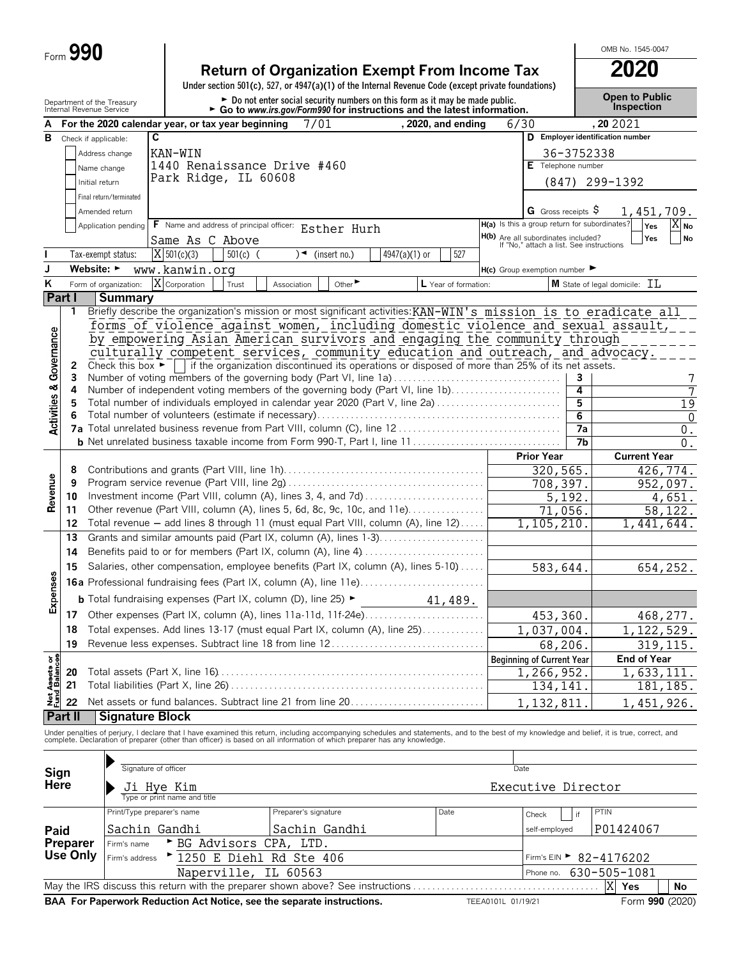|                                        | Form 990                       |                                                        |                              |                                                                                          |                      |                             |                                                                                                                                                                        |                      |      |                                                                                 |                | OMB No. 1545-0047                                                                                                                                                                                                                 |  |  |  |
|----------------------------------------|--------------------------------|--------------------------------------------------------|------------------------------|------------------------------------------------------------------------------------------|----------------------|-----------------------------|------------------------------------------------------------------------------------------------------------------------------------------------------------------------|----------------------|------|---------------------------------------------------------------------------------|----------------|-----------------------------------------------------------------------------------------------------------------------------------------------------------------------------------------------------------------------------------|--|--|--|
|                                        |                                |                                                        |                              |                                                                                          |                      |                             | <b>Return of Organization Exempt From Income Tax</b><br>Under section 501(c), 527, or 4947(a)(1) of the Internal Revenue Code (except private foundations)             |                      |      |                                                                                 |                | 2020                                                                                                                                                                                                                              |  |  |  |
|                                        |                                | Department of the Treasury<br>Internal Revenue Service |                              |                                                                                          |                      |                             | Do not enter social security numbers on this form as it may be made public.<br>$\triangleright$ Go to www.irs.gov/Form990 for instructions and the latest information. |                      |      |                                                                                 |                | <b>Open to Public</b><br><b>Inspection</b>                                                                                                                                                                                        |  |  |  |
| A                                      |                                |                                                        |                              | For the 2020 calendar year, or tax year beginning                                        |                      | 7/01                        |                                                                                                                                                                        | , 2020, and ending   | 6/30 |                                                                                 | , 20 20 21     |                                                                                                                                                                                                                                   |  |  |  |
| В                                      | Check if applicable:           |                                                        | C                            |                                                                                          |                      |                             |                                                                                                                                                                        |                      |      |                                                                                 |                | D Employer identification number                                                                                                                                                                                                  |  |  |  |
|                                        |                                | Address change                                         | KAN-WIN                      |                                                                                          |                      |                             |                                                                                                                                                                        |                      |      |                                                                                 | 36-3752338     |                                                                                                                                                                                                                                   |  |  |  |
|                                        |                                | Name change                                            |                              | 1440 Renaissance Drive #460                                                              |                      |                             |                                                                                                                                                                        |                      |      | E Telephone number                                                              |                |                                                                                                                                                                                                                                   |  |  |  |
|                                        |                                | Initial return                                         |                              | Park Ridge, IL 60608                                                                     |                      |                             |                                                                                                                                                                        |                      |      | (847)                                                                           |                | 299-1392                                                                                                                                                                                                                          |  |  |  |
|                                        |                                | Final return/terminated                                |                              |                                                                                          |                      |                             |                                                                                                                                                                        |                      |      |                                                                                 |                |                                                                                                                                                                                                                                   |  |  |  |
|                                        |                                | Amended return                                         |                              |                                                                                          |                      |                             |                                                                                                                                                                        |                      |      | G Gross receipts $\varsigma$                                                    |                | 1,451,709.                                                                                                                                                                                                                        |  |  |  |
|                                        |                                | Application pending                                    |                              | F Name and address of principal officer: Esther Hurh                                     |                      |                             |                                                                                                                                                                        |                      |      | H(a) Is this a group return for subordinates?                                   |                | $\overline{X}_{\mathsf{No}}$<br>Yes                                                                                                                                                                                               |  |  |  |
|                                        |                                |                                                        |                              | Same As C Above                                                                          |                      |                             |                                                                                                                                                                        |                      |      | H(b) Are all subordinates included?<br>If "No," attach a list. See instructions |                | Yes<br>No                                                                                                                                                                                                                         |  |  |  |
|                                        |                                | Tax-exempt status:                                     | $X$ 501(c)(3)                | $501(c)$ (                                                                               | )◄                   | (insert no.)                | 4947(a)(1) or                                                                                                                                                          | 527                  |      |                                                                                 |                |                                                                                                                                                                                                                                   |  |  |  |
| J                                      | Website: $\blacktriangleright$ |                                                        | www.kanwin.org               |                                                                                          |                      |                             |                                                                                                                                                                        |                      |      | $H(c)$ Group exemption number $\blacktriangleright$                             |                |                                                                                                                                                                                                                                   |  |  |  |
| Κ                                      |                                | Form of organization:                                  | X Corporation                | Trust                                                                                    | Association          | Other $\blacktriangleright$ |                                                                                                                                                                        | L Year of formation: |      |                                                                                 |                | M State of legal domicile: TT.                                                                                                                                                                                                    |  |  |  |
|                                        | Part I                         | Summary                                                |                              |                                                                                          |                      |                             |                                                                                                                                                                        |                      |      |                                                                                 |                |                                                                                                                                                                                                                                   |  |  |  |
|                                        | 1                              |                                                        |                              |                                                                                          |                      |                             |                                                                                                                                                                        |                      |      |                                                                                 |                | Briefly describe the organization's mission or most significant activities: KAN-WIN's mission is to eradicate all                                                                                                                 |  |  |  |
|                                        |                                |                                                        |                              |                                                                                          |                      |                             |                                                                                                                                                                        |                      |      |                                                                                 |                | forms of violence against women, including domestic violence and sexual assault,                                                                                                                                                  |  |  |  |
|                                        |                                |                                                        |                              |                                                                                          |                      |                             | by empowering Asian American survivors and engaging the community through                                                                                              |                      |      |                                                                                 |                |                                                                                                                                                                                                                                   |  |  |  |
| Governance                             |                                |                                                        |                              |                                                                                          |                      |                             | culturally competent services, community education and outreach, and advocacy.                                                                                         |                      |      |                                                                                 |                |                                                                                                                                                                                                                                   |  |  |  |
|                                        | 2                              | Check this box $\blacktriangleright$                   |                              |                                                                                          |                      |                             | if the organization discontinued its operations or disposed of more than 25% of its net assets.                                                                        |                      |      |                                                                                 |                |                                                                                                                                                                                                                                   |  |  |  |
|                                        | 3<br>4                         |                                                        |                              |                                                                                          |                      |                             | Number of voting members of the governing body (Part VI, line 1a)<br>Number of independent voting members of the governing body (Part VI, line 1b)                     |                      |      |                                                                                 | 3<br>4         | 7                                                                                                                                                                                                                                 |  |  |  |
|                                        | 5                              |                                                        |                              |                                                                                          |                      |                             | Total number of individuals employed in calendar year 2020 (Part V, line 2a)                                                                                           |                      |      |                                                                                 | $\overline{5}$ | $\overline{19}$                                                                                                                                                                                                                   |  |  |  |
| <b>Activities &amp;</b>                |                                |                                                        |                              |                                                                                          |                      |                             |                                                                                                                                                                        |                      |      |                                                                                 | $\overline{6}$ | $\Omega$                                                                                                                                                                                                                          |  |  |  |
|                                        |                                |                                                        |                              |                                                                                          |                      |                             |                                                                                                                                                                        |                      |      |                                                                                 | 7a             | $\boldsymbol{0}$ .                                                                                                                                                                                                                |  |  |  |
|                                        |                                |                                                        |                              |                                                                                          |                      |                             |                                                                                                                                                                        |                      |      |                                                                                 | 7b             | $\overline{0}$ .                                                                                                                                                                                                                  |  |  |  |
|                                        |                                |                                                        |                              |                                                                                          |                      |                             |                                                                                                                                                                        |                      |      | <b>Prior Year</b>                                                               |                | <b>Current Year</b>                                                                                                                                                                                                               |  |  |  |
|                                        | 8                              |                                                        |                              |                                                                                          |                      |                             |                                                                                                                                                                        |                      |      | 320,565.                                                                        |                | 426,774.                                                                                                                                                                                                                          |  |  |  |
|                                        | 9                              |                                                        |                              |                                                                                          |                      |                             |                                                                                                                                                                        |                      |      | 708,397.                                                                        |                | 952,097.                                                                                                                                                                                                                          |  |  |  |
| Revenue                                | 10                             |                                                        |                              |                                                                                          |                      |                             |                                                                                                                                                                        |                      |      | 5,192.                                                                          |                | 4,651.                                                                                                                                                                                                                            |  |  |  |
|                                        | 11<br>12                       |                                                        |                              |                                                                                          |                      |                             | Other revenue (Part VIII, column (A), lines 5, 6d, 8c, 9c, 10c, and 11e)<br>Total revenue - add lines 8 through 11 (must equal Part VIII, column (A), line 12)         |                      |      | 71,056.                                                                         |                | 58,122.                                                                                                                                                                                                                           |  |  |  |
|                                        | 13                             |                                                        |                              |                                                                                          |                      |                             | Grants and similar amounts paid (Part IX, column (A), lines 1-3)                                                                                                       |                      |      | 1,105,210.                                                                      |                | 1,441,644.                                                                                                                                                                                                                        |  |  |  |
|                                        | 14                             |                                                        |                              |                                                                                          |                      |                             | Benefits paid to or for members (Part IX, column (A), line 4)                                                                                                          |                      |      |                                                                                 |                |                                                                                                                                                                                                                                   |  |  |  |
|                                        |                                |                                                        |                              |                                                                                          |                      |                             | Salaries, other compensation, employee benefits (Part IX, column (A), lines 5-10)                                                                                      |                      |      |                                                                                 |                |                                                                                                                                                                                                                                   |  |  |  |
| 8                                      | 15                             |                                                        |                              |                                                                                          |                      |                             |                                                                                                                                                                        |                      |      | 583,644.                                                                        |                | 654,252.                                                                                                                                                                                                                          |  |  |  |
|                                        |                                |                                                        |                              |                                                                                          |                      |                             | 16a Professional fundraising fees (Part IX, column (A), line 11e)                                                                                                      |                      |      |                                                                                 |                |                                                                                                                                                                                                                                   |  |  |  |
| Expens                                 |                                |                                                        |                              | <b>b</b> Total fundraising expenses (Part IX, column (D), line 25) $\blacktriangleright$ |                      |                             |                                                                                                                                                                        | 41,489.              |      |                                                                                 |                |                                                                                                                                                                                                                                   |  |  |  |
|                                        | 17                             |                                                        |                              |                                                                                          |                      |                             | Other expenses (Part IX, column (A), lines 11a-11d, 11f-24e)                                                                                                           |                      |      | 453,360.                                                                        |                | 468,277.                                                                                                                                                                                                                          |  |  |  |
|                                        | 18                             |                                                        |                              |                                                                                          |                      |                             | Total expenses. Add lines 13-17 (must equal Part IX, column (A), line 25)                                                                                              |                      |      | 1,037,004.                                                                      |                | 1, 122, 529.                                                                                                                                                                                                                      |  |  |  |
|                                        | 19                             |                                                        |                              |                                                                                          |                      |                             | Revenue less expenses. Subtract line 18 from line 12                                                                                                                   |                      |      | 68,206.                                                                         |                | 319,115.                                                                                                                                                                                                                          |  |  |  |
| <b>Net Assets or<br/>Fund Balances</b> |                                |                                                        |                              |                                                                                          |                      |                             |                                                                                                                                                                        |                      |      | <b>Beginning of Current Year</b>                                                |                | <b>End of Year</b>                                                                                                                                                                                                                |  |  |  |
|                                        | 20                             |                                                        |                              |                                                                                          |                      |                             |                                                                                                                                                                        |                      |      | 1,266,952.                                                                      |                | 1,633,111.                                                                                                                                                                                                                        |  |  |  |
|                                        | 21                             |                                                        |                              |                                                                                          |                      |                             |                                                                                                                                                                        |                      |      | 134,141.                                                                        |                | 181, 185.                                                                                                                                                                                                                         |  |  |  |
|                                        | 22                             |                                                        |                              |                                                                                          |                      |                             | Net assets or fund balances. Subtract line 21 from line 20                                                                                                             |                      |      | 1, 132, 811                                                                     |                | 1,451,926.                                                                                                                                                                                                                        |  |  |  |
|                                        | Part II                        | <b>Signature Block</b>                                 |                              |                                                                                          |                      |                             |                                                                                                                                                                        |                      |      |                                                                                 |                |                                                                                                                                                                                                                                   |  |  |  |
|                                        |                                |                                                        |                              |                                                                                          |                      |                             |                                                                                                                                                                        |                      |      |                                                                                 |                | Under penalties of perjury, I declare that I have examined this return, including accompanying schedules and statements, and to the best of my knowledge and belief, it is true, correct, and<br>complete. Declaration of prepare |  |  |  |
|                                        |                                |                                                        |                              |                                                                                          |                      |                             |                                                                                                                                                                        |                      |      |                                                                                 |                |                                                                                                                                                                                                                                   |  |  |  |
|                                        | Sign                           |                                                        | Signature of officer         |                                                                                          |                      |                             |                                                                                                                                                                        |                      |      | Date                                                                            |                |                                                                                                                                                                                                                                   |  |  |  |
|                                        | Here                           |                                                        | Ji Hye Kim                   |                                                                                          |                      |                             |                                                                                                                                                                        |                      |      | Executive Director                                                              |                |                                                                                                                                                                                                                                   |  |  |  |
|                                        |                                |                                                        | Type or print name and title |                                                                                          |                      |                             |                                                                                                                                                                        |                      |      |                                                                                 |                |                                                                                                                                                                                                                                   |  |  |  |
|                                        |                                |                                                        | Print/Type preparer's name   |                                                                                          | Preparer's signature |                             |                                                                                                                                                                        | Date                 |      | Check                                                                           | if             | PTIN                                                                                                                                                                                                                              |  |  |  |
| Paid                                   |                                |                                                        | Sachin Gandhi                |                                                                                          |                      | Sachin Gandhi               |                                                                                                                                                                        |                      |      | self-employed                                                                   |                | P01424067                                                                                                                                                                                                                         |  |  |  |
|                                        | Preparer                       | Firm's name                                            |                              | BG Advisors CPA, LTD.                                                                    |                      |                             |                                                                                                                                                                        |                      |      |                                                                                 |                |                                                                                                                                                                                                                                   |  |  |  |
|                                        | Use Only                       | Firm's address                                         |                              | "1250 E Diehl Rd Ste 406                                                                 |                      |                             |                                                                                                                                                                        |                      |      |                                                                                 |                | Firm's EIN $\triangleright$ 82-4176202                                                                                                                                                                                            |  |  |  |
|                                        |                                |                                                        |                              | Naperville,                                                                              | IL 60563             |                             |                                                                                                                                                                        |                      |      | Phone no.                                                                       |                | 630-505-1081                                                                                                                                                                                                                      |  |  |  |
|                                        |                                |                                                        |                              |                                                                                          |                      |                             |                                                                                                                                                                        |                      |      |                                                                                 |                |                                                                                                                                                                                                                                   |  |  |  |

May the IRS discuss this return with the preparer shown above? See instructions. . . . . . . . . . . . . . . . . . . . . . . . . . . . . . . . . . . . . . . . **Yes No BAA For Paperwork Reduction Act Notice, see the separate instructions.** TEEA0101L 01/19/21

 $\begin{array}{|c|c|c|c|}\n\hline\n|\overline{X}|\overline{Yes} & \textbf{No} \\
\hline\n\text{Form 990 (2020)}\n\end{array}$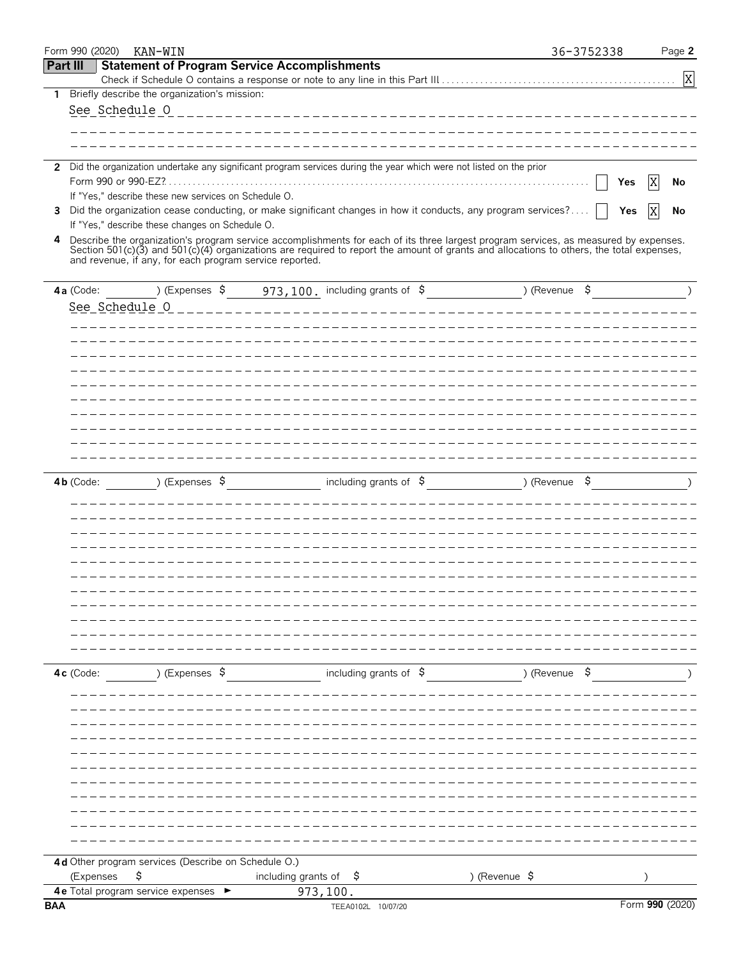|              | Form 990 (2020) | KAN-WIN                                              |                                   |                                                                                                                    |                                                                                                                                                                                                                                                                                                                                             | 36-3752338 | Page 2          |
|--------------|-----------------|------------------------------------------------------|-----------------------------------|--------------------------------------------------------------------------------------------------------------------|---------------------------------------------------------------------------------------------------------------------------------------------------------------------------------------------------------------------------------------------------------------------------------------------------------------------------------------------|------------|-----------------|
| Part III     |                 | <b>Statement of Program Service Accomplishments</b>  |                                   |                                                                                                                    |                                                                                                                                                                                                                                                                                                                                             |            |                 |
|              |                 |                                                      |                                   |                                                                                                                    |                                                                                                                                                                                                                                                                                                                                             |            | X               |
| 1            |                 | Briefly describe the organization's mission:         |                                   |                                                                                                                    |                                                                                                                                                                                                                                                                                                                                             |            |                 |
|              |                 | See Schedule O                                       |                                   |                                                                                                                    |                                                                                                                                                                                                                                                                                                                                             |            |                 |
|              |                 |                                                      |                                   |                                                                                                                    |                                                                                                                                                                                                                                                                                                                                             |            |                 |
|              |                 |                                                      |                                   |                                                                                                                    |                                                                                                                                                                                                                                                                                                                                             |            |                 |
| $\mathbf{2}$ |                 |                                                      |                                   | Did the organization undertake any significant program services during the year which were not listed on the prior |                                                                                                                                                                                                                                                                                                                                             |            |                 |
|              |                 |                                                      |                                   |                                                                                                                    |                                                                                                                                                                                                                                                                                                                                             |            | X<br>Yes<br>No  |
|              |                 | If "Yes," describe these new services on Schedule O. |                                   |                                                                                                                    |                                                                                                                                                                                                                                                                                                                                             |            |                 |
| 3            |                 |                                                      |                                   |                                                                                                                    | Did the organization cease conducting, or make significant changes in how it conducts, any program services?                                                                                                                                                                                                                                |            | X<br>Yes<br>No  |
|              |                 | If "Yes," describe these changes on Schedule O.      |                                   |                                                                                                                    |                                                                                                                                                                                                                                                                                                                                             |            |                 |
| 4            |                 |                                                      |                                   |                                                                                                                    | Describe the organization's program service accomplishments for each of its three largest program services, as measured by expenses.<br>Section 501(c)(3) and 501(c)(4) organizations are required to report the amount of grants and allocations to others, the total expenses,<br>and revenue, if any, for each program service reported. |            |                 |
|              |                 |                                                      |                                   | 4a (Code: $\qquad$ ) (Expenses $\frac{1}{2}$ 973, 100. including grants of $\frac{1}{2}$                           | ) (Revenue \$                                                                                                                                                                                                                                                                                                                               |            | $\lambda$       |
|              |                 | See Schedule 0                                       |                                   |                                                                                                                    |                                                                                                                                                                                                                                                                                                                                             |            |                 |
|              |                 |                                                      |                                   |                                                                                                                    |                                                                                                                                                                                                                                                                                                                                             |            |                 |
|              |                 |                                                      |                                   |                                                                                                                    |                                                                                                                                                                                                                                                                                                                                             |            |                 |
|              |                 |                                                      |                                   |                                                                                                                    |                                                                                                                                                                                                                                                                                                                                             |            |                 |
|              |                 |                                                      |                                   |                                                                                                                    |                                                                                                                                                                                                                                                                                                                                             |            |                 |
|              |                 |                                                      |                                   |                                                                                                                    |                                                                                                                                                                                                                                                                                                                                             |            |                 |
|              |                 |                                                      |                                   |                                                                                                                    |                                                                                                                                                                                                                                                                                                                                             |            |                 |
|              |                 |                                                      |                                   |                                                                                                                    |                                                                                                                                                                                                                                                                                                                                             |            |                 |
|              |                 |                                                      |                                   |                                                                                                                    |                                                                                                                                                                                                                                                                                                                                             |            |                 |
|              |                 |                                                      |                                   |                                                                                                                    |                                                                                                                                                                                                                                                                                                                                             |            |                 |
|              |                 |                                                      |                                   |                                                                                                                    |                                                                                                                                                                                                                                                                                                                                             |            |                 |
|              |                 |                                                      |                                   |                                                                                                                    |                                                                                                                                                                                                                                                                                                                                             |            |                 |
|              | $4b$ (Code:     |                                                      |                                   |                                                                                                                    | ) (Expenses $\zeta$ including grants of $\zeta$ ) (Revenue $\zeta$                                                                                                                                                                                                                                                                          |            |                 |
|              |                 |                                                      |                                   |                                                                                                                    |                                                                                                                                                                                                                                                                                                                                             |            |                 |
|              |                 |                                                      |                                   |                                                                                                                    |                                                                                                                                                                                                                                                                                                                                             |            |                 |
|              |                 |                                                      |                                   |                                                                                                                    |                                                                                                                                                                                                                                                                                                                                             |            |                 |
|              |                 |                                                      |                                   |                                                                                                                    |                                                                                                                                                                                                                                                                                                                                             |            |                 |
|              |                 |                                                      |                                   |                                                                                                                    |                                                                                                                                                                                                                                                                                                                                             |            |                 |
|              |                 |                                                      |                                   |                                                                                                                    |                                                                                                                                                                                                                                                                                                                                             |            |                 |
|              |                 |                                                      |                                   |                                                                                                                    |                                                                                                                                                                                                                                                                                                                                             |            |                 |
|              |                 |                                                      |                                   |                                                                                                                    |                                                                                                                                                                                                                                                                                                                                             |            |                 |
|              |                 |                                                      |                                   |                                                                                                                    |                                                                                                                                                                                                                                                                                                                                             |            |                 |
|              |                 |                                                      |                                   |                                                                                                                    |                                                                                                                                                                                                                                                                                                                                             |            |                 |
|              |                 |                                                      |                                   |                                                                                                                    |                                                                                                                                                                                                                                                                                                                                             |            |                 |
|              | 4c (Code:       | ) (Expenses \$                                       |                                   |                                                                                                                    | including grants of $\beta$ (Revenue $\beta$ )                                                                                                                                                                                                                                                                                              |            |                 |
|              |                 |                                                      |                                   |                                                                                                                    |                                                                                                                                                                                                                                                                                                                                             |            |                 |
|              |                 |                                                      |                                   |                                                                                                                    |                                                                                                                                                                                                                                                                                                                                             |            |                 |
|              |                 |                                                      |                                   |                                                                                                                    |                                                                                                                                                                                                                                                                                                                                             |            |                 |
|              |                 |                                                      |                                   |                                                                                                                    |                                                                                                                                                                                                                                                                                                                                             |            |                 |
|              |                 |                                                      |                                   |                                                                                                                    |                                                                                                                                                                                                                                                                                                                                             |            |                 |
|              |                 |                                                      |                                   |                                                                                                                    |                                                                                                                                                                                                                                                                                                                                             |            |                 |
|              |                 |                                                      |                                   |                                                                                                                    |                                                                                                                                                                                                                                                                                                                                             |            |                 |
|              |                 |                                                      |                                   |                                                                                                                    |                                                                                                                                                                                                                                                                                                                                             |            |                 |
|              |                 |                                                      |                                   |                                                                                                                    |                                                                                                                                                                                                                                                                                                                                             |            |                 |
|              |                 |                                                      |                                   |                                                                                                                    |                                                                                                                                                                                                                                                                                                                                             |            |                 |
|              |                 |                                                      |                                   |                                                                                                                    |                                                                                                                                                                                                                                                                                                                                             |            |                 |
|              |                 |                                                      |                                   |                                                                                                                    |                                                                                                                                                                                                                                                                                                                                             |            |                 |
|              |                 | 4d Other program services (Describe on Schedule O.)  |                                   |                                                                                                                    |                                                                                                                                                                                                                                                                                                                                             |            |                 |
|              | (Expenses       | \$                                                   | including grants of $\frac{1}{2}$ |                                                                                                                    | ) (Revenue \$                                                                                                                                                                                                                                                                                                                               |            |                 |
|              |                 | 4 e Total program service expenses >                 |                                   | 973, 100.                                                                                                          |                                                                                                                                                                                                                                                                                                                                             |            |                 |
| <b>BAA</b>   |                 |                                                      |                                   | TEEA0102L 10/07/20                                                                                                 |                                                                                                                                                                                                                                                                                                                                             |            | Form 990 (2020) |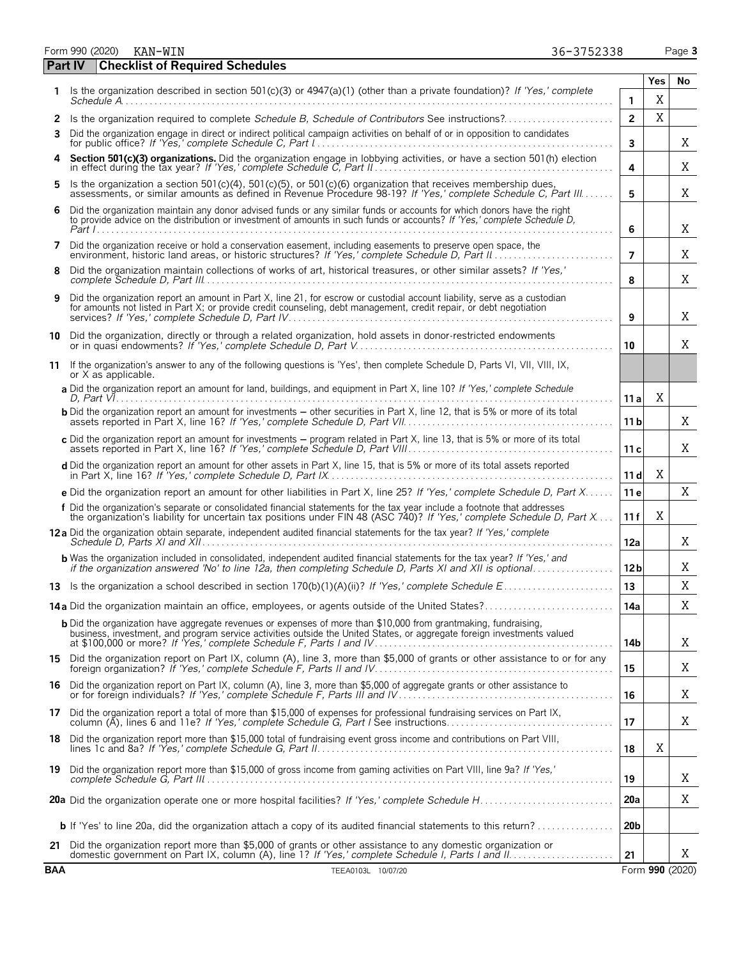Form 990 (2020) KAN-WIN 36-3752338 Page 3

|    | Part IV | <b>Checklist of Required Schedules</b>                                                                                                                                                                                                                                                                                    |                     |          |        |
|----|---------|---------------------------------------------------------------------------------------------------------------------------------------------------------------------------------------------------------------------------------------------------------------------------------------------------------------------------|---------------------|----------|--------|
| 1. |         | Is the organization described in section 501(c)(3) or $4947(a)(1)$ (other than a private foundation)? If 'Yes,' complete<br>Schedule A.                                                                                                                                                                                   |                     | Yes<br>X | No     |
|    |         | 2 Is the organization required to complete Schedule B, Schedule of Contributors See instructions?                                                                                                                                                                                                                         | 1<br>$\overline{2}$ | X        |        |
|    |         | 3 Did the organization engage in direct or indirect political campaign activities on behalf of or in opposition to candidates                                                                                                                                                                                             | 3                   |          | Χ      |
| 4  |         | Section 501(c)(3) organizations. Did the organization engage in lobbying activities, or have a section 501(h) election in effect during the tax year? If 'Yes,' complete Schedule C, Part II<br>4                                                                                                                         |                     |          | Χ      |
|    |         | 5 Is the organization a section 501(c)(4), 501(c)(5), or 501(c)(6) organization that receives membership dues,<br>assessments, or similar amounts as defined in Revenue Procedure 98-19? If 'Yes,' complete Schedule C, Part III.                                                                                         | 5                   |          | Χ      |
| 6. |         | Did the organization maintain any donor advised funds or any similar funds or accounts for which donors have the right<br>to provide advice on the distribution or investment of amounts in such funds or accounts? If 'Yes,' complete Schedule D,                                                                        | 6                   |          | Χ      |
| 7  |         | Did the organization receive or hold a conservation easement, including easements to preserve open space, the<br>environment, historic land areas, or historic structures? If 'Yes,' complete Schedule D, Part II                                                                                                         | $\overline{7}$      |          | Χ      |
| 8  |         | Did the organization maintain collections of works of art, historical treasures, or other similar assets? If 'Yes,'                                                                                                                                                                                                       | 8                   |          | X      |
| 9  |         | Did the organization report an amount in Part X, line 21, for escrow or custodial account liability, serve as a custodian<br>for amounts not listed in Part X; or provide credit counseling, debt management, credit repair, or debt negotiation                                                                          | 9                   |          | Χ      |
| 10 |         | Did the organization, directly or through a related organization, hold assets in donor-restricted endowments                                                                                                                                                                                                              | 10                  |          | Χ      |
| 11 |         | If the organization's answer to any of the following questions is 'Yes', then complete Schedule D, Parts VI, VII, VIII, IX,<br>or X as applicable.                                                                                                                                                                        |                     |          |        |
|    |         | a Did the organization report an amount for land, buildings, and equipment in Part X, line 10? If 'Yes,' complete Schedule<br>D. Part VI. .                                                                                                                                                                               | 11 a                | Χ        |        |
|    |         | <b>b</b> Did the organization report an amount for investments – other securities in Part X, line 12, that is 5% or more of its total                                                                                                                                                                                     | 11 <sub>b</sub>     |          | X      |
|    |         | c Did the organization report an amount for investments - program related in Part X, line 13, that is 5% or more of its total                                                                                                                                                                                             | 11c                 |          | Χ      |
|    |         | d Did the organization report an amount for other assets in Part X, line 15, that is 5% or more of its total assets reported                                                                                                                                                                                              | 11d                 | Χ        |        |
|    |         | e Did the organization report an amount for other liabilities in Part X, line 25? If 'Yes,' complete Schedule D, Part X                                                                                                                                                                                                   | 11 e                |          | X      |
|    |         | f Did the organization's separate or consolidated financial statements for the tax year include a footnote that addresses<br>the organization's liability for uncertain tax positions under FIN 48 (ASC 740)? If 'Yes,' complete Schedule D, Part X                                                                       | 11 f                | X        |        |
|    |         | 12a Did the organization obtain separate, independent audited financial statements for the tax year? If 'Yes,' complete                                                                                                                                                                                                   | 12a                 |          | Χ      |
|    |         | <b>b</b> Was the organization included in consolidated, independent audited financial statements for the tax year? If 'Yes,' and<br>if the organization answered 'No' to line 12a, then completing Schedule D, Parts XI and XII is optional                                                                               | 12 b                |          | Χ      |
|    |         |                                                                                                                                                                                                                                                                                                                           | 13                  |          | Χ      |
|    |         | <b>14a</b> Did the organization maintain an office, employees, or agents outside of the United States?                                                                                                                                                                                                                    | 14a                 |          | X      |
|    |         | <b>b</b> Did the organization have aggregate revenues or expenses of more than \$10,000 from grantmaking, fundraising,<br>business, investment, and program service activities outside the United States, or aggregate foreign investments valued<br>at \$100,000 or more? If 'Yes,' complete Schedule F, Parts I and IV. | 14b                 |          | Χ      |
|    |         | 15 Did the organization report on Part IX, column (A), line 3, more than \$5,000 of grants or other assistance to or for any foreign organization? If 'Yes,' complete Schedule F, Parts II and IV                                                                                                                         | 15                  |          | Χ      |
|    |         | 16 Did the organization report on Part IX, column (A), line 3, more than \$5,000 of aggregate grants or other assistance to<br>or for foreign individuals? If 'Yes,' complete Schedule F, Parts III and IV                                                                                                                | 16                  |          | Χ      |
|    |         | 17 Did the organization report a total of more than \$15,000 of expenses for professional fundraising services on Part IX,                                                                                                                                                                                                | 17                  |          | Χ      |
|    |         | 18 Did the organization report more than \$15,000 total of fundraising event gross income and contributions on Part VIII,                                                                                                                                                                                                 | 18                  | Χ        |        |
|    |         | 19 Did the organization report more than \$15,000 of gross income from gaming activities on Part VIII, line 9a? If 'Yes,'                                                                                                                                                                                                 |                     |          |        |
|    |         |                                                                                                                                                                                                                                                                                                                           | 19<br>20a           |          | Χ<br>Χ |
|    |         |                                                                                                                                                                                                                                                                                                                           |                     |          |        |
|    |         | <b>b</b> If 'Yes' to line 20a, did the organization attach a copy of its audited financial statements to this return?<br>21 Did the organization report more than \$5,000 of grants or other assistance to any domestic organization or                                                                                   | 20 <sub>b</sub>     |          |        |
|    |         |                                                                                                                                                                                                                                                                                                                           | 21                  |          | X      |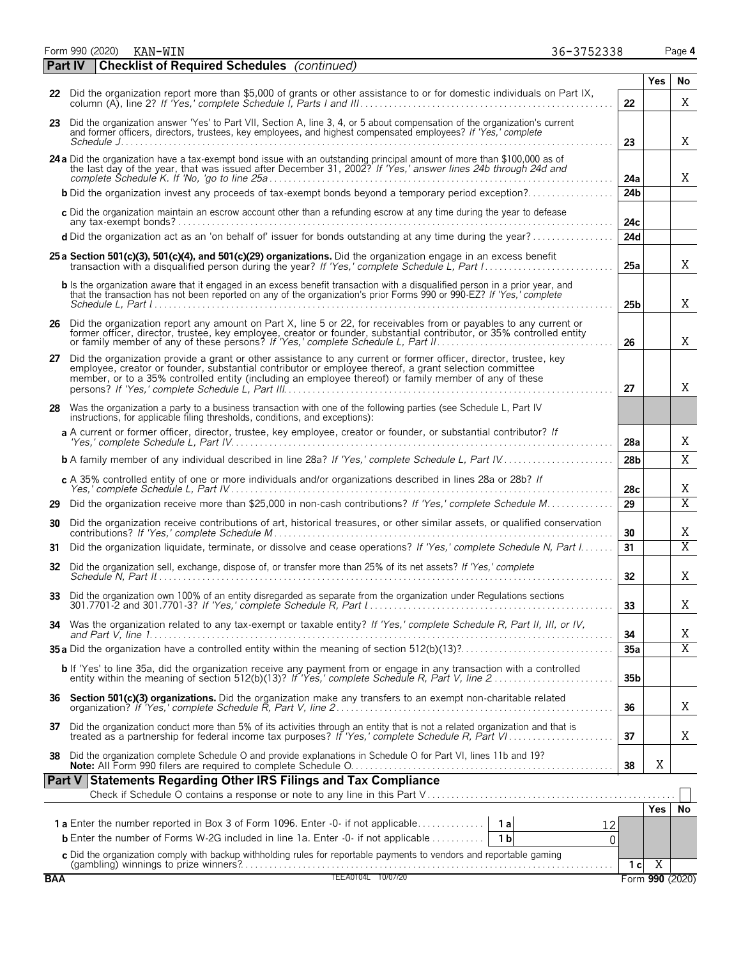Form 990 (2020) KAN-WIN 36-3752338 Page 4

|            | <b>Checklist of Required Schedules</b> (continued)<br><b>Part IV</b>                                                                                                                                                                                                                                                                                                                                                                                                                                                                                                                                                                                                |                        |                |                 |
|------------|---------------------------------------------------------------------------------------------------------------------------------------------------------------------------------------------------------------------------------------------------------------------------------------------------------------------------------------------------------------------------------------------------------------------------------------------------------------------------------------------------------------------------------------------------------------------------------------------------------------------------------------------------------------------|------------------------|----------------|-----------------|
|            |                                                                                                                                                                                                                                                                                                                                                                                                                                                                                                                                                                                                                                                                     |                        | <b>Yes</b>     | No              |
|            | 22 Did the organization report more than \$5,000 of grants or other assistance to or for domestic individuals on Part IX,<br>column (A), line 2? If 'Yes,' complete Schedule I, Parts I and III.                                                                                                                                                                                                                                                                                                                                                                                                                                                                    | 22                     |                | X               |
|            | 23 Did the organization answer 'Yes' to Part VII, Section A, line 3, 4, or 5 about compensation of the organization's current<br>and former officers, directors, trustees, key employees, and highest compensated employees? If 'Yes,' complete                                                                                                                                                                                                                                                                                                                                                                                                                     | 23                     |                | X               |
|            | 24 a Did the organization have a tax-exempt bond issue with an outstanding principal amount of more than \$100,000 as of<br>the last day of the year, that was issued after December 31, 2002? If 'Yes,' answer lines 24b through 24d and                                                                                                                                                                                                                                                                                                                                                                                                                           |                        |                |                 |
|            | <b>b</b> Did the organization invest any proceeds of tax-exempt bonds beyond a temporary period exception?                                                                                                                                                                                                                                                                                                                                                                                                                                                                                                                                                          | 24a<br>24 <sub>b</sub> |                | X               |
|            | c Did the organization maintain an escrow account other than a refunding escrow at any time during the year to defease                                                                                                                                                                                                                                                                                                                                                                                                                                                                                                                                              |                        |                |                 |
|            | d Did the organization act as an 'on behalf of' issuer for bonds outstanding at any time during the year?                                                                                                                                                                                                                                                                                                                                                                                                                                                                                                                                                           | 24c<br>24d             |                |                 |
|            | 25 a Section 501(c)(3), 501(c)(4), and 501(c)(29) organizations. Did the organization engage in an excess benefit                                                                                                                                                                                                                                                                                                                                                                                                                                                                                                                                                   |                        |                |                 |
|            |                                                                                                                                                                                                                                                                                                                                                                                                                                                                                                                                                                                                                                                                     | 25a                    |                | Χ               |
|            | b Is the organization aware that it engaged in an excess benefit transaction with a disqualified person in a prior year, and<br>that the transaction has not been reported on any of the organization's prior Forms 990 or 990-EZ? If 'Yes,' complete<br>Schedule L. Part $l_1, \ldots, l_k, \ldots, l_k, \ldots, l_k, \ldots, l_k, \ldots, l_k, \ldots, l_k, \ldots, l_k, \ldots, l_k, \ldots, l_k, \ldots, l_k, \ldots, l_k, \ldots, l_k, \ldots, l_k, \ldots, l_k, \ldots, l_k, \ldots, l_k, \ldots, l_k, \ldots, l_k, \ldots, l_k, \ldots, l_k, \ldots, l_k, \ldots, l_k, \ldots, l_k, \ldots, l_k, \ldots, l_k, \ldots, l_k, \ldots, l_k, \ldots, l_k, \ldots$ | 25b                    |                | X               |
|            | 26 Did the organization report any amount on Part X, line 5 or 22, for receivables from or payables to any current or<br>former officer, director, trustee, key employee, creator or founder, substantial contributor, or 35% controlled entity                                                                                                                                                                                                                                                                                                                                                                                                                     | 26                     |                | X               |
|            | 27 Did the organization provide a grant or other assistance to any current or former officer, director, trustee, key<br>employee, creator or founder, substantial contributor or employee thereof, a grant selection committee<br>member, or to a 35% controlled entity (including an employee thereof) or family member of any of these                                                                                                                                                                                                                                                                                                                            | 27                     |                | X               |
|            | 28 Was the organization a party to a business transaction with one of the following parties (see Schedule L, Part IV<br>instructions, for applicable filing thresholds, conditions, and exceptions):                                                                                                                                                                                                                                                                                                                                                                                                                                                                |                        |                |                 |
|            | a A current or former officer, director, trustee, key employee, creator or founder, or substantial contributor? If                                                                                                                                                                                                                                                                                                                                                                                                                                                                                                                                                  | 28a                    |                | X               |
|            |                                                                                                                                                                                                                                                                                                                                                                                                                                                                                                                                                                                                                                                                     | 28 <sub>b</sub>        |                | X               |
|            | c A 35% controlled entity of one or more individuals and/or organizations described in lines 28a or 28b? If                                                                                                                                                                                                                                                                                                                                                                                                                                                                                                                                                         | 28c                    |                | Χ               |
| 29         | Did the organization receive more than \$25,000 in non-cash contributions? If 'Yes,' complete Schedule M                                                                                                                                                                                                                                                                                                                                                                                                                                                                                                                                                            | 29                     |                | $\overline{X}$  |
| 30         | Did the organization receive contributions of art, historical treasures, or other similar assets, or qualified conservation                                                                                                                                                                                                                                                                                                                                                                                                                                                                                                                                         | 30                     |                | Χ               |
| 31         | Did the organization liquidate, terminate, or dissolve and cease operations? If 'Yes,' complete Schedule N, Part I                                                                                                                                                                                                                                                                                                                                                                                                                                                                                                                                                  | 31                     |                | $\overline{X}$  |
|            | 32 Did the organization sell, exchange, dispose of, or transfer more than 25% of its net assets? If 'Yes,' complete                                                                                                                                                                                                                                                                                                                                                                                                                                                                                                                                                 | 32                     |                | X               |
|            | 33 Did the organization own 100% of an entity disregarded as separate from the organization under Regulations sections                                                                                                                                                                                                                                                                                                                                                                                                                                                                                                                                              | 33                     |                | Χ               |
| 34         | Was the organization related to any tax-exempt or taxable entity? If 'Yes,' complete Schedule R, Part II, III, or IV,                                                                                                                                                                                                                                                                                                                                                                                                                                                                                                                                               | 34                     |                | Χ               |
|            |                                                                                                                                                                                                                                                                                                                                                                                                                                                                                                                                                                                                                                                                     | 35a                    |                | $\overline{X}$  |
|            | b If 'Yes' to line 35a, did the organization receive any payment from or engage in any transaction with a controlled<br>entity within the meaning of section 512(b)(13)? If 'Yes,' complete Schedule R, Part V, line 2                                                                                                                                                                                                                                                                                                                                                                                                                                              | 35 <sub>b</sub>        |                |                 |
| 36         | Section 501(c)(3) organizations. Did the organization make any transfers to an exempt non-charitable related                                                                                                                                                                                                                                                                                                                                                                                                                                                                                                                                                        | 36                     |                | Χ               |
| 37         | Did the organization conduct more than 5% of its activities through an entity that is not a related organization and that is treated as a partnership for federal income tax purposes? If 'Yes,' complete Schedule R, Part VI.                                                                                                                                                                                                                                                                                                                                                                                                                                      | 37                     |                | Χ               |
| 38         | Did the organization complete Schedule O and provide explanations in Schedule O for Part VI, lines 11b and 19?                                                                                                                                                                                                                                                                                                                                                                                                                                                                                                                                                      | 38                     | X              |                 |
|            | <b>Part V Statements Regarding Other IRS Filings and Tax Compliance</b>                                                                                                                                                                                                                                                                                                                                                                                                                                                                                                                                                                                             |                        |                |                 |
|            |                                                                                                                                                                                                                                                                                                                                                                                                                                                                                                                                                                                                                                                                     |                        |                |                 |
|            |                                                                                                                                                                                                                                                                                                                                                                                                                                                                                                                                                                                                                                                                     |                        | Yes.           | <b>No</b>       |
|            | 12<br><b>b</b> Enter the number of Forms W-2G included in line 1a. Enter -0- if not applicable<br>1 <sub>b</sub><br>$\Omega$                                                                                                                                                                                                                                                                                                                                                                                                                                                                                                                                        |                        |                |                 |
|            | c Did the organization comply with backup withholding rules for reportable payments to vendors and reportable gaming                                                                                                                                                                                                                                                                                                                                                                                                                                                                                                                                                |                        |                |                 |
|            |                                                                                                                                                                                                                                                                                                                                                                                                                                                                                                                                                                                                                                                                     | 1 с                    | $\overline{X}$ |                 |
| <b>BAA</b> | TEEA0104L 10/07/20                                                                                                                                                                                                                                                                                                                                                                                                                                                                                                                                                                                                                                                  |                        |                | Form 990 (2020) |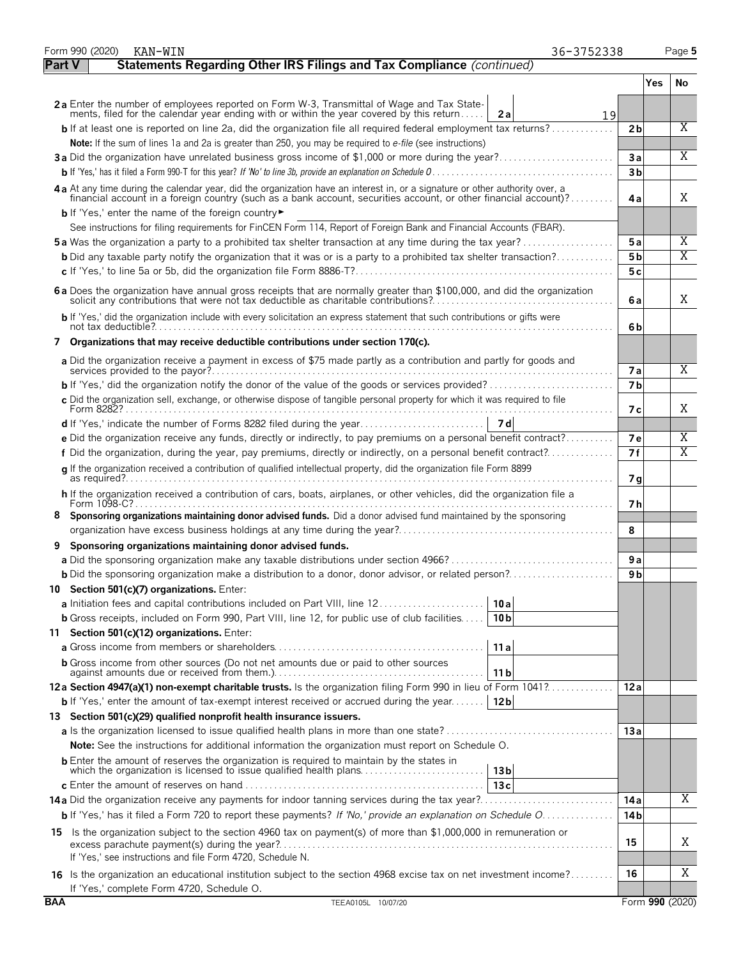|            | Form 990 (2020)<br>KAN-WIN                                                                                                                                                                                                     | 36-3752338     | Page 5          |
|------------|--------------------------------------------------------------------------------------------------------------------------------------------------------------------------------------------------------------------------------|----------------|-----------------|
|            | Statements Regarding Other IRS Filings and Tax Compliance (continued)<br><b>Part V</b>                                                                                                                                         |                |                 |
|            |                                                                                                                                                                                                                                |                | Yes<br>No.      |
|            | 2a Enter the number of employees reported on Form W-3, Transmittal of Wage and Tax State-<br>ments, filed for the calendar year ending with or within the year covered by this return<br>2a                                    | 19             |                 |
|            | <b>b</b> If at least one is reported on line 2a, did the organization file all required federal employment tax returns?                                                                                                        | 2 <sub>b</sub> | $\overline{X}$  |
|            | Note: If the sum of lines 1a and 2a is greater than 250, you may be required to e-file (see instructions)                                                                                                                      |                |                 |
|            | 3a Did the organization have unrelated business gross income of \$1,000 or more during the year?                                                                                                                               | 3a             | X               |
|            |                                                                                                                                                                                                                                | 3 <sub>b</sub> |                 |
|            | 4a At any time during the calendar year, did the organization have an interest in, or a signature or other authority over, a financial account in a foreign country (such as a bank account, securities account, or other fina | 4a             | X               |
|            | <b>b</b> If 'Yes,' enter the name of the foreign country                                                                                                                                                                       |                |                 |
|            | See instructions for filing requirements for FinCEN Form 114, Report of Foreign Bank and Financial Accounts (FBAR).                                                                                                            |                |                 |
|            | <b>5a</b> Was the organization a party to a prohibited tax shelter transaction at any time during the tax year?                                                                                                                | 5a             | Χ               |
|            | <b>b</b> Did any taxable party notify the organization that it was or is a party to a prohibited tax shelter transaction?                                                                                                      | 5 b            | X               |
|            |                                                                                                                                                                                                                                | 5c             |                 |
|            | 6 a Does the organization have annual gross receipts that are normally greater than \$100,000, and did the organization solicit any contributions that were not tax deductible as charitable contributions?                    | 6a             | X               |
|            | b If 'Yes,' did the organization include with every solicitation an express statement that such contributions or gifts were                                                                                                    | 6b             |                 |
|            | 7 Organizations that may receive deductible contributions under section 170(c).                                                                                                                                                |                |                 |
|            | a Did the organization receive a payment in excess of \$75 made partly as a contribution and partly for goods and                                                                                                              | <b>7a</b>      | X               |
|            |                                                                                                                                                                                                                                | 7 <sub>b</sub> |                 |
|            | c Did the organization sell, exchange, or otherwise dispose of tangible personal property for which it was required to file                                                                                                    | 7 с            | X               |
|            |                                                                                                                                                                                                                                |                |                 |
|            | e Did the organization receive any funds, directly or indirectly, to pay premiums on a personal benefit contract?                                                                                                              | 7e             | Χ               |
|            | f Did the organization, during the year, pay premiums, directly or indirectly, on a personal benefit contract?                                                                                                                 | 7f             | Χ               |
|            | g If the organization received a contribution of qualified intellectual property, did the organization file Form 8899                                                                                                          | 7g             |                 |
|            | h If the organization received a contribution of cars, boats, airplanes, or other vehicles, did the organization file a                                                                                                        | 7 h            |                 |
|            | Sponsoring organizations maintaining donor advised funds. Did a donor advised fund maintained by the sponsoring                                                                                                                | 8              |                 |
| 9          | Sponsoring organizations maintaining donor advised funds.                                                                                                                                                                      |                |                 |
|            |                                                                                                                                                                                                                                | 9a             |                 |
|            | <b>b</b> Did the sponsoring organization make a distribution to a donor, donor advisor, or related person?                                                                                                                     | 9 b            |                 |
|            | 10 Section 501(c)(7) organizations. Enter:                                                                                                                                                                                     |                |                 |
|            | 10 a                                                                                                                                                                                                                           |                |                 |
|            | <b>b</b> Gross receipts, included on Form 990, Part VIII, line 12, for public use of club facilities<br>10 <sub>b</sub>                                                                                                        |                |                 |
|            | 11 Section 501(c)(12) organizations. Enter:                                                                                                                                                                                    |                |                 |
|            | 11a                                                                                                                                                                                                                            |                |                 |
|            | <b>b</b> Gross income from other sources (Do not net amounts due or paid to other sources<br>11 b                                                                                                                              |                |                 |
|            | 12a Section 4947(a)(1) non-exempt charitable trusts. Is the organization filing Form 990 in lieu of Form 1041?                                                                                                                 | 12a            |                 |
|            | <b>b</b> If 'Yes,' enter the amount of tax-exempt interest received or accrued during the year <b>12b</b>                                                                                                                      |                |                 |
|            | 13 Section 501(c)(29) qualified nonprofit health insurance issuers.                                                                                                                                                            |                |                 |
|            |                                                                                                                                                                                                                                | 13a            |                 |
|            | <b>Note:</b> See the instructions for additional information the organization must report on Schedule O.                                                                                                                       |                |                 |
|            | <b>b</b> Enter the amount of reserves the organization is required to maintain by the states in<br>which the organization is licensed to issue qualified health plans<br>13 <sub>b</sub>                                       |                |                 |
|            | 13c                                                                                                                                                                                                                            | 14 a           | Χ               |
|            | b If 'Yes,' has it filed a Form 720 to report these payments? If 'No,' provide an explanation on Schedule O                                                                                                                    | 14 b           |                 |
|            |                                                                                                                                                                                                                                |                |                 |
|            | 15 Is the organization subject to the section 4960 tax on payment(s) of more than \$1,000,000 in remuneration or<br>If 'Yes,' see instructions and file Form 4720, Schedule N.                                                 | 15             | Χ               |
|            | 16 Is the organization an educational institution subject to the section 4968 excise tax on net investment income?                                                                                                             | 16             | Χ               |
| <b>BAA</b> | If 'Yes,' complete Form 4720, Schedule O.<br>TEEA0105L 10/07/20                                                                                                                                                                |                | Form 990 (2020) |
|            |                                                                                                                                                                                                                                |                |                 |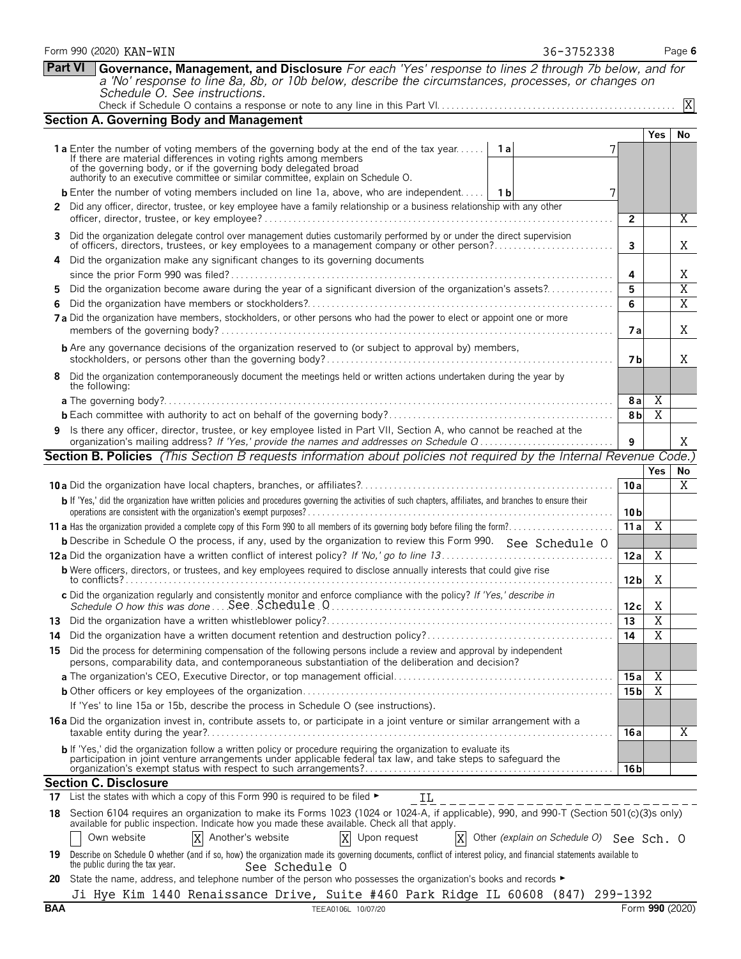|     | <b>Part VI</b> | Governance, Management, and Disclosure For each 'Yes' response to lines 2 through 7b below, and for<br>a 'No' response to line 8a, 8b, or 10b below, describe the circumstances, processes, or changes on<br>Schedule O. See instructions.                                                                                                    |                 |                |           |  |
|-----|----------------|-----------------------------------------------------------------------------------------------------------------------------------------------------------------------------------------------------------------------------------------------------------------------------------------------------------------------------------------------|-----------------|----------------|-----------|--|
|     | $\overline{X}$ |                                                                                                                                                                                                                                                                                                                                               |                 |                |           |  |
|     |                | <b>Section A. Governing Body and Management</b>                                                                                                                                                                                                                                                                                               |                 |                |           |  |
|     |                |                                                                                                                                                                                                                                                                                                                                               |                 | Yes            | No        |  |
|     |                | <b>1a</b> Enter the number of voting members of the governing body at the end of the tax year<br>1 a<br>If there are material differences in voting rights among members<br>of the governing body, or if the governing body delegated broad<br>authority to an executive committee or similar committee, explain on Schedule O.               |                 |                |           |  |
|     |                | <b>b</b> Enter the number of voting members included on line 1a, above, who are independent   1b<br>7                                                                                                                                                                                                                                         |                 |                |           |  |
|     |                | 2 Did any officer, director, trustee, or key employee have a family relationship or a business relationship with any other                                                                                                                                                                                                                    | $\overline{2}$  |                | Χ         |  |
| 3   |                | Did the organization delegate control over management duties customarily performed by or under the direct supervision<br>of officers, directors, trustees, or key employees to a management company or other person?                                                                                                                          | 3               |                | X         |  |
|     |                | Did the organization make any significant changes to its governing documents                                                                                                                                                                                                                                                                  | 4               |                | X         |  |
| 5.  |                | Did the organization become aware during the year of a significant diversion of the organization's assets?                                                                                                                                                                                                                                    | 5               |                | X         |  |
| 6   |                |                                                                                                                                                                                                                                                                                                                                               | 6               |                | X         |  |
|     |                | 7 a Did the organization have members, stockholders, or other persons who had the power to elect or appoint one or more                                                                                                                                                                                                                       | <b>7a</b>       |                | X         |  |
|     |                | <b>b</b> Are any governance decisions of the organization reserved to (or subject to approval by) members,                                                                                                                                                                                                                                    | 7 b             |                | X         |  |
| 8   |                | Did the organization contemporaneously document the meetings held or written actions undertaken during the year by<br>the following:                                                                                                                                                                                                          |                 |                |           |  |
|     |                |                                                                                                                                                                                                                                                                                                                                               | 8a              | Χ              |           |  |
|     |                |                                                                                                                                                                                                                                                                                                                                               | 8 <sub>b</sub>  | $\overline{X}$ |           |  |
| 9.  |                | Is there any officer, director, trustee, or key employee listed in Part VII, Section A, who cannot be reached at the<br>organization's mailing address? If 'Yes,' provide the names and addresses on Schedule Q                                                                                                                               | 9               |                | X         |  |
|     |                | Section B. Policies (This Section B requests information about policies not required by the Internal Revenue Code.)                                                                                                                                                                                                                           |                 |                |           |  |
|     |                |                                                                                                                                                                                                                                                                                                                                               |                 | <b>Yes</b>     | <b>No</b> |  |
|     |                |                                                                                                                                                                                                                                                                                                                                               | 10a             |                | Χ         |  |
|     |                | b If 'Yes,' did the organization have written policies and procedures governing the activities of such chapters, affiliates, and branches to ensure their                                                                                                                                                                                     | 10 <sub>b</sub> |                |           |  |
|     |                |                                                                                                                                                                                                                                                                                                                                               | 11a             | X              |           |  |
|     |                | <b>b</b> Describe in Schedule O the process, if any, used by the organization to review this Form 990. See Schedule O                                                                                                                                                                                                                         |                 |                |           |  |
|     |                |                                                                                                                                                                                                                                                                                                                                               | 12a             | Χ              |           |  |
|     |                | <b>b</b> Were officers, directors, or trustees, and key employees required to disclose annually interests that could give rise                                                                                                                                                                                                                | 12 <sub>b</sub> | Χ              |           |  |
|     |                | c Did the organization regularly and consistently monitor and enforce compliance with the policy? If 'Yes,' describe in                                                                                                                                                                                                                       | 12 c            | X.             |           |  |
| 13  |                |                                                                                                                                                                                                                                                                                                                                               | 13              | Χ              |           |  |
| 14  |                |                                                                                                                                                                                                                                                                                                                                               | 14              | $\overline{X}$ |           |  |
| 15. |                | Did the process for determining compensation of the following persons include a review and approval by independent<br>persons, comparability data, and contemporaneous substantiation of the deliberation and decision?                                                                                                                       |                 |                |           |  |
|     |                |                                                                                                                                                                                                                                                                                                                                               | 15 a            | Χ<br>Χ         |           |  |
|     |                | If 'Yes' to line 15a or 15b, describe the process in Schedule O (see instructions).                                                                                                                                                                                                                                                           | 15 b            |                |           |  |
|     |                | 16 a Did the organization invest in, contribute assets to, or participate in a joint venture or similar arrangement with a                                                                                                                                                                                                                    |                 |                |           |  |
|     |                |                                                                                                                                                                                                                                                                                                                                               | 16a             |                | Χ         |  |
|     |                | b If 'Yes,' did the organization follow a written policy or procedure requiring the organization to evaluate its<br>participation in joint venture arrangements under applicable federal tax law, and take steps to safeguard the                                                                                                             | 16 b            |                |           |  |
|     |                | <b>Section C. Disclosure</b>                                                                                                                                                                                                                                                                                                                  |                 |                |           |  |
|     |                | 17 List the states with which a copy of this Form 990 is required to be filed $\blacktriangleright$<br>ΙL                                                                                                                                                                                                                                     |                 |                |           |  |
|     |                | 18 Section 6104 requires an organization to make its Forms 1023 (1024 or 1024-A, if applicable), 990, and 990-T (Section 501(c)(3)s only)<br>available for public inspection. Indicate how you made these available. Check all that apply.                                                                                                    |                 |                |           |  |
|     |                | X Other (explain on Schedule O) See Sch. O<br>Another's website<br>X Upon request<br>Own website<br>X                                                                                                                                                                                                                                         |                 |                |           |  |
| 20  |                | 19 Describe on Schedule O whether (and if so, how) the organization made its governing documents, conflict of interest policy, and financial statements available to<br>the public during the tax year.<br>See Schedule O<br>State the name, address, and telephone number of the person who possesses the organization's books and records ► |                 |                |           |  |
|     |                | Ji Hye Kim 1440 Renaissance Drive, Suite #460 Park Ridge IL 60608 (847) 299-1392                                                                                                                                                                                                                                                              |                 |                |           |  |

Form 990 (2020) KAN-WIN **Page 6** and the set of the set of the set of the set of the set of the set of the set of the set of the set of the set of the set of the set of the set of the set of the set of the set of the set o

KAN-WIN 36-3752338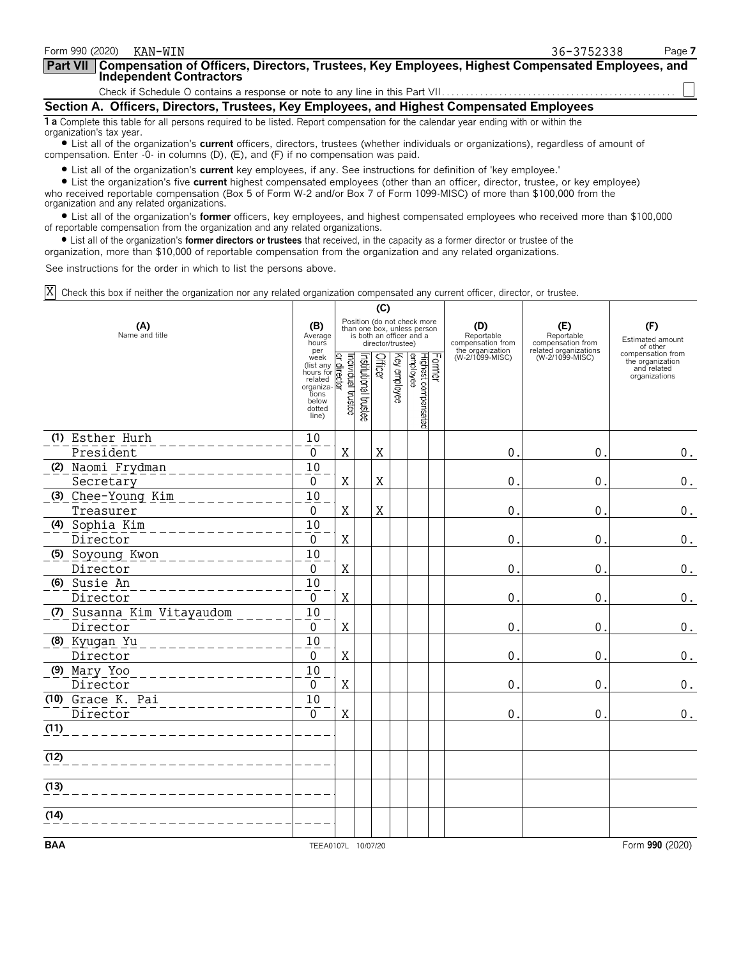| Form 990 (2020)<br>KAN-WTN                                                                                                                                                                                                                                                                                                                                                                                 | 36-3752338 | Page 7 |
|------------------------------------------------------------------------------------------------------------------------------------------------------------------------------------------------------------------------------------------------------------------------------------------------------------------------------------------------------------------------------------------------------------|------------|--------|
| <b>Part VII</b><br>Compensation of Officers, Directors, Trustees, Key Employees, Highest Compensated Employees, and<br>Independent Contractors                                                                                                                                                                                                                                                             |            |        |
|                                                                                                                                                                                                                                                                                                                                                                                                            |            |        |
| Section A. Officers, Directors, Trustees, Key Employees, and Highest Compensated Employees                                                                                                                                                                                                                                                                                                                 |            |        |
| 1 a Complete this table for all persons required to be listed. Report compensation for the calendar year ending with or within the<br>organization's tax year.<br>$\blacktriangle$ . The contract of the contract of the contract of the contract of the contract of the contract of the contract of the contract of the contract of the contract of the contract of the contract of the contract of the c |            |        |

? List all of the organization's **current** officers, directors, trustees (whether individuals or organizations), regardless of amount of compensation. Enter -0- in columns (D), (E), and (F) if no compensation was paid.

? List all of the organization's **current** key employees, if any. See instructions for definition of 'key employee.'

? List the organization's five **current** highest compensated employees (other than an officer, director, trustee, or key employee) who received reportable compensation (Box 5 of Form W-2 and/or Box 7 of Form 1099-MISC) of more than \$100,000 from the organization and any related organizations.

? List all of the organization's **former** officers, key employees, and highest compensated employees who received more than \$100,000 of reportable compensation from the organization and any related organizations.

? List all of the organization's **former directors or trustees** that received, in the capacity as a former director or trustee of the

organization, more than \$10,000 of reportable compensation from the organization and any related organizations.

See instructions for the order in which to list the persons above.

Check this box if neither the organization nor any related organization compensated any current officer, director, or trustee. X

|                              | (C)                                                                                                |                                                                                                                        |                       |             |              |                                            |  |                                        |                                          |                                                                       |
|------------------------------|----------------------------------------------------------------------------------------------------|------------------------------------------------------------------------------------------------------------------------|-----------------------|-------------|--------------|--------------------------------------------|--|----------------------------------------|------------------------------------------|-----------------------------------------------------------------------|
| (A)<br>Name and title        |                                                                                                    | Position (do not check more<br>than one box, unless person<br>is both an officer and a<br>Average<br>director/trustee) |                       |             |              |                                            |  | (D)<br>Reportable<br>compensation from | (E)<br>Reportable<br>compensation from   | (F)<br>Estimated amount<br>of other                                   |
|                              | per<br>week<br>(list any<br>hours for<br>related<br>organiza-<br>tions<br>below<br>dotted<br>line) | Individual trustee<br>qirector                                                                                         | Institutional trustee | Officer     | Key employee | Former<br>Highest compensated<br> employee |  | the organization<br>(W-2/1099-MISC)    | related organizations<br>(W-2/1099-MISC) | compensation from<br>the organization<br>and related<br>organizations |
| (1) Esther Hurh              | 10                                                                                                 |                                                                                                                        |                       |             |              |                                            |  |                                        |                                          |                                                                       |
| President                    | 0                                                                                                  | $\mathbf X$                                                                                                            |                       | $\mathbf X$ |              |                                            |  | $\mathbf{0}$                           | $\mathbf 0$ .                            | 0.                                                                    |
| (2) Naomi Frydman            | 10                                                                                                 |                                                                                                                        |                       |             |              |                                            |  |                                        |                                          |                                                                       |
| Secretary                    | $\overline{0}$                                                                                     | $\mathbf X$                                                                                                            |                       | X           |              |                                            |  | $\mathbf 0$ .                          | $\mathbf 0$ .                            | $0$ .                                                                 |
| (3) Chee-Young Kim           | $\overline{10}$                                                                                    |                                                                                                                        |                       |             |              |                                            |  |                                        |                                          |                                                                       |
| Treasurer                    | $\Omega$                                                                                           | $\mathbf X$                                                                                                            |                       | $\rm X$     |              |                                            |  | $\mathbf 0$                            | $\mathbf{0}$                             | $0$ .                                                                 |
| (4) Sophia Kim               | $\overline{10}$                                                                                    |                                                                                                                        |                       |             |              |                                            |  |                                        |                                          |                                                                       |
| Director                     | $\Omega$<br>$\overline{10}$                                                                        | X                                                                                                                      |                       |             |              |                                            |  | $\pmb{0}$                              | $\mathbf 0$                              | 0.                                                                    |
| (5) Soyoung Kwon<br>Director | $\Omega$                                                                                           | X                                                                                                                      |                       |             |              |                                            |  | 0                                      | $\mathbf{0}$                             | $\boldsymbol{0}$ .                                                    |
| (6) Susie An                 | 10                                                                                                 |                                                                                                                        |                       |             |              |                                            |  |                                        |                                          |                                                                       |
| Director                     | $\Omega$                                                                                           | $\mathbf X$                                                                                                            |                       |             |              |                                            |  | $\mathbf 0$                            | $\mathbf{0}$                             | $\boldsymbol{0}$ .                                                    |
| (7) Susanna Kim Vitayaudom   | 10                                                                                                 |                                                                                                                        |                       |             |              |                                            |  |                                        |                                          |                                                                       |
| Director                     | $\overline{0}$                                                                                     | $\mathbf X$                                                                                                            |                       |             |              |                                            |  | $\mathbf 0$                            | $\mathbf{0}$                             | $\boldsymbol{0}$ .                                                    |
| (8) Kyugan Yu                | 10                                                                                                 |                                                                                                                        |                       |             |              |                                            |  |                                        |                                          |                                                                       |
| Director                     | $\Omega$                                                                                           | X                                                                                                                      |                       |             |              |                                            |  | $\mathbf{0}$                           | $\mathbf 0$ .                            | 0.                                                                    |
| (9) Mary Yoo                 | 10                                                                                                 |                                                                                                                        |                       |             |              |                                            |  |                                        |                                          |                                                                       |
| Director                     | $\Omega$                                                                                           | X                                                                                                                      |                       |             |              |                                            |  | $\mathbf 0$                            | $\mathbf 0$ .                            | $0$ .                                                                 |
| (10) Grace K. Pai            | 10                                                                                                 |                                                                                                                        |                       |             |              |                                            |  |                                        |                                          |                                                                       |
| Director                     | $\overline{0}$                                                                                     | $\mathbf X$                                                                                                            |                       |             |              |                                            |  | $\mathbf 0$                            | $\mathbf{0}$ .                           | $0$ .                                                                 |
| (11)                         |                                                                                                    |                                                                                                                        |                       |             |              |                                            |  |                                        |                                          |                                                                       |
| (12)                         |                                                                                                    |                                                                                                                        |                       |             |              |                                            |  |                                        |                                          |                                                                       |
| (13)                         |                                                                                                    |                                                                                                                        |                       |             |              |                                            |  |                                        |                                          |                                                                       |
| (14)                         |                                                                                                    |                                                                                                                        |                       |             |              |                                            |  |                                        |                                          |                                                                       |
| <b>BAA</b>                   | TEEA0107L 10/07/20                                                                                 |                                                                                                                        |                       |             |              |                                            |  |                                        |                                          | Form 990 (2020)                                                       |
|                              |                                                                                                    |                                                                                                                        |                       |             |              |                                            |  |                                        |                                          |                                                                       |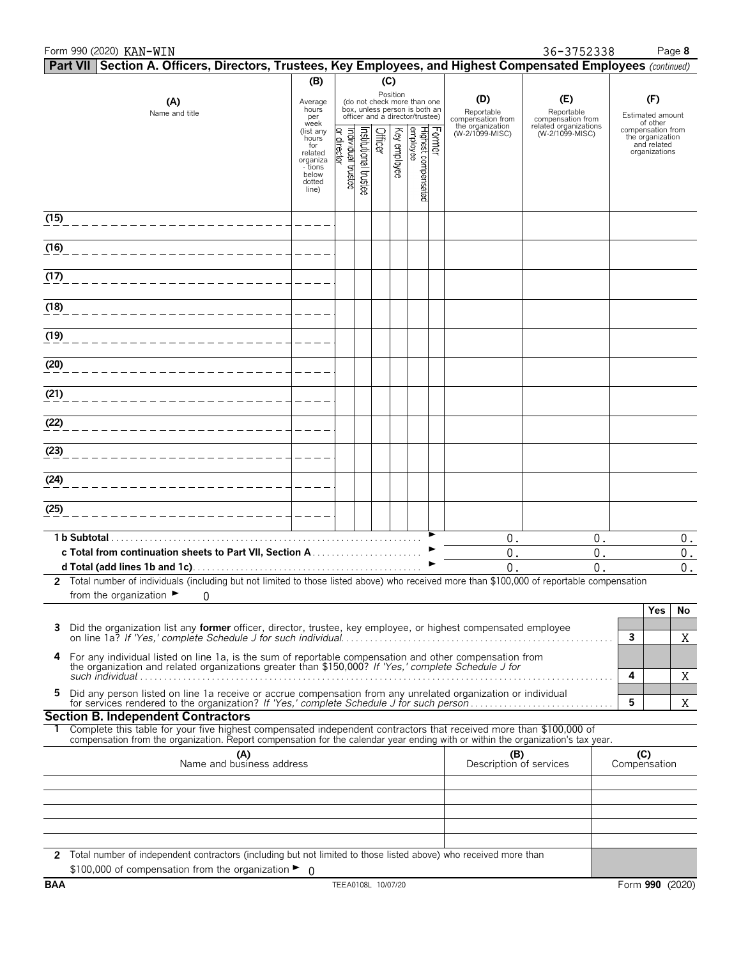| Form 990 (2020) KAN-WIN                                                                                         |                                                                                         |                                      |                       |         |              |                                                                                                 |        |                                        | 36-3752338                               | Page 8                                                                |
|-----------------------------------------------------------------------------------------------------------------|-----------------------------------------------------------------------------------------|--------------------------------------|-----------------------|---------|--------------|-------------------------------------------------------------------------------------------------|--------|----------------------------------------|------------------------------------------|-----------------------------------------------------------------------|
| Part VII Section A. Officers, Directors, Trustees, Key Employees, and Highest Compensated Employees (continued) |                                                                                         |                                      |                       |         |              |                                                                                                 |        |                                        |                                          |                                                                       |
| (A)<br>Name and title                                                                                           | (B)<br>Average<br>hours<br>per<br>week                                                  |                                      |                       | (C)     | Position     | (do not check more than one<br>box, unless person is both an<br>officer and a director/trustee) |        | (D)<br>Reportable<br>compensation from | (E)<br>Reportable<br>compensation from   | (F)<br>Estimated amount<br>of other                                   |
|                                                                                                                 | (list any<br>hours<br>for<br>related<br>organiza<br>tions -<br>below<br>dotted<br>line) | ₽.<br>Individual trustee<br>director | Institutional trustee | Officer | Key employee | Highest compensated<br>employee                                                                 | Former | the organization<br>(W-2/1099-MISC)    | related organizations<br>(W-2/1099-MISC) | compensation from<br>the organization<br>and related<br>organizations |
| (15)                                                                                                            |                                                                                         |                                      |                       |         |              |                                                                                                 |        |                                        |                                          |                                                                       |
| (16)                                                                                                            |                                                                                         |                                      |                       |         |              |                                                                                                 |        |                                        |                                          |                                                                       |
| (17)                                                                                                            |                                                                                         |                                      |                       |         |              |                                                                                                 |        |                                        |                                          |                                                                       |
| (18)                                                                                                            |                                                                                         |                                      |                       |         |              |                                                                                                 |        |                                        |                                          |                                                                       |
| (19)                                                                                                            |                                                                                         |                                      |                       |         |              |                                                                                                 |        |                                        |                                          |                                                                       |
| (20)                                                                                                            |                                                                                         |                                      |                       |         |              |                                                                                                 |        |                                        |                                          |                                                                       |
| (21)                                                                                                            |                                                                                         |                                      |                       |         |              |                                                                                                 |        |                                        |                                          |                                                                       |
| (22)                                                                                                            |                                                                                         |                                      |                       |         |              |                                                                                                 |        |                                        |                                          |                                                                       |
| (23)                                                                                                            |                                                                                         |                                      |                       |         |              |                                                                                                 |        |                                        |                                          |                                                                       |

| from the organization $\blacktriangleright$                                                                                                                                                                    |  |      |  |  |  |  |  |
|----------------------------------------------------------------------------------------------------------------------------------------------------------------------------------------------------------------|--|------|--|--|--|--|--|
|                                                                                                                                                                                                                |  | res) |  |  |  |  |  |
|                                                                                                                                                                                                                |  |      |  |  |  |  |  |
|                                                                                                                                                                                                                |  |      |  |  |  |  |  |
| 4 For any individual listed on line 1a, is the sum of reportable compensation and other compensation from the organization and related organizations greater than \$150,000? If 'Yes,' complete Schedule J for |  |      |  |  |  |  |  |
| such individual                                                                                                                                                                                                |  |      |  |  |  |  |  |
|                                                                                                                                                                                                                |  |      |  |  |  |  |  |
| 5 Did any person listed on line 1a receive or accrue compensation from any unrelated organization or individual<br>for services rendered to the organization? If 'Yes,' complete Schedule J for such person    |  |      |  |  |  |  |  |

**2** Total number of individuals (including but not limited to those listed above) who received more than \$100,000 of reportable compensation

## **Section B. Independent Contractors**

**1 b Subtotal**. . . . . . . . . . . . . . . . . . . . . . . . . . . . . . . . . . . . . . . . . . . . . . . . . . . . . . . . . . . . . . . . . . G **c Total from continuation sheets to Part VII, Section A** . . . . . . . . . . . . . . . . . . . . . . . G **d Total (add lines 1b and 1c)**. . . . . . . . . . . . . . . . . . . . . . . . . . . . . . . . . . . . . . . . . . . . . . . . G

| Complete this table for your five highest compensated independent contractors that received more than \$100,000 of               |
|----------------------------------------------------------------------------------------------------------------------------------|
| compensation from the organization. Report compensation for the calendar year ending with or within the organization's tax year. |

| (A)<br>Name and business address                                                                                                                                                              | (B)<br>Description of services | (C)<br>Compensation |
|-----------------------------------------------------------------------------------------------------------------------------------------------------------------------------------------------|--------------------------------|---------------------|
|                                                                                                                                                                                               |                                |                     |
|                                                                                                                                                                                               |                                |                     |
|                                                                                                                                                                                               |                                |                     |
|                                                                                                                                                                                               |                                |                     |
|                                                                                                                                                                                               |                                |                     |
| 2 Total number of independent contractors (including but not limited to those listed above) who received more than<br>\$100,000 of compensation from the organization $\blacktriangleright$ 0 |                                |                     |

**(24)**

**(25)**

0. 0. 0.

0. 0. 0. 0. 0. 0.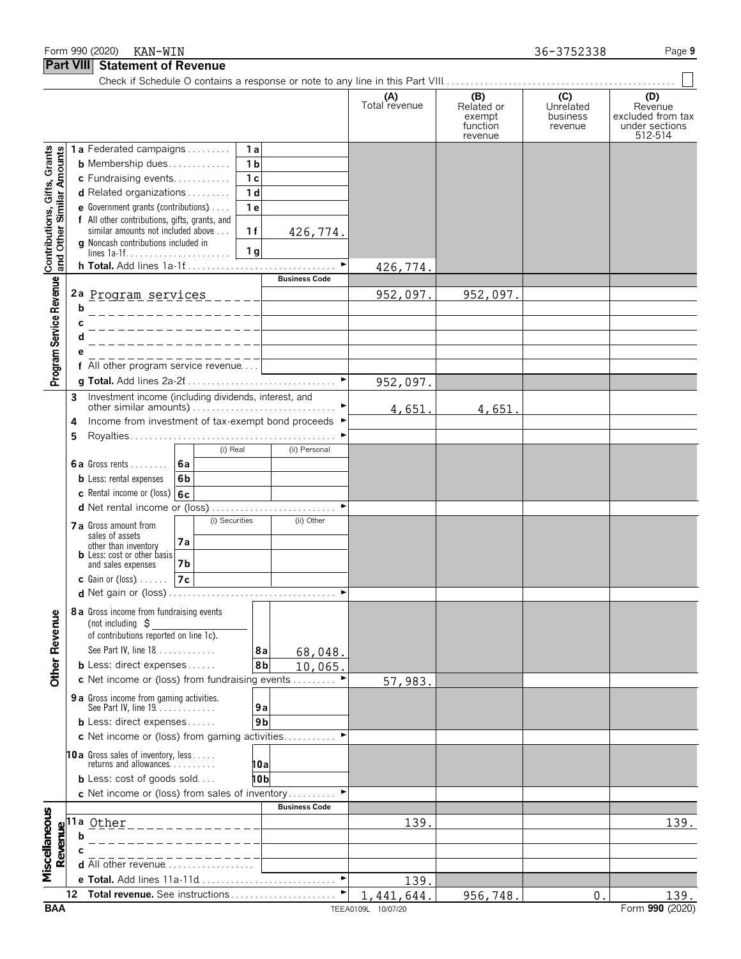## Form 990 (2020) RAN-WIN **Page 9** and the set of the set of the set of the set of the set of the set of the set of the set of the set of the set of the set of the set of the set of the set of the set of the set of the set o

**Part VIII Statement of Revenue**

Check if Schedule O contains a response or note to any line in this Part VIII................................. **(A) (B) (C) (D)** Total revenue Related or Unrelated Revenue exempt business excluded from tax<br>function revenue under sections function revenue under sections<br>revenue 512-514  $512-514$ Contributions, Gifts, Grants<br>and Other Similar Amounts **1 a** Federated campaigns. . . . . . . . . . **1 a b** Membership dues. . . . . . . . . . . . . **1 b c** Fundraising events. . . . . . . . . . . . **1 c d** Related organizations . . . . . . . . . **1 d e** Government grants (contributions). . . . . **1 e f** All other contributions, gifts, grants, and similar amounts not included above . . . **1 1** 426,774. **g** Noncash contributions included in lines 1a-1f. . . . . . . . . . . . . . . . . . . . . . **1 g h Total.** Add lines 1a-1f. . . . . . . . . . . . . . . . . . . . . . . . . . . . . . . . G 426,774. Program Service Revenue **Business Code 2 a** Program services 952,097. 952,097. **b c d e f** All other program service revenue. . . . **g Total.** Add lines 2a-2f. . . . . . . . . . . . . . . . . . . . . . . . . . . . . . . . G 952,097. **3** Investment income (including dividends, interest, and other similar amounts). . . . . . . . . . . . . . . . . . . . . . . . . . . . . . . G 4,651. 4,651. **4** Income from investment of tax-exempt bond proceeds ▶ **5** Royalties . . . . . . . . . . . . . . . . . . . . . . . . . . . . . . . . . . . . . . . . . . . G (i) Real (ii) Personal **6 a** Gross rents . . . . . . . . **6a b** Less: rental expenses **6b c** Rental income or (loss) **6c d** Net rental income or (loss). . . . . . . . . . . . . . . . . . . . . . . . . . . G **7 a** Gross amount from **a**  $\begin{bmatrix} 0 & \text{Securities} \\ \text{sales of assets} & \text{(i)} & \text{Other} \end{bmatrix}$ sales of assets **7a** other than inventory **b** Less: cost or other basis and sales expenses **7b c** Gain or (loss). . . . . . . **7c d** Net gain or (loss) . . . . . . . . . . . . . . . . . . . . . . . . . . . . . . . . . . . G **8 a** Gross income from fundraising events Other Revenue (not including \$ of contributions reported on line 1c). See Part IV, line 18. . . . . . . . . . . . . **8 a** 68,048. **b** Less: direct expenses . . . . . . **8b** 10,065. **c** Net income or (loss) from fundraising events . . . . . . . . ▶ 57,983. **9 a** Gross income from gaming activities. See Part IV, line 19. . . . . . . . . . . . . **9 a b** Less: direct expenses . . . . . . . . 9b **c** Net income or (loss) from gaming activities. . . . . . . . . . ▶ **10a** Gross sales of inventory, less. . . . . returns and allowances. . . . . . . . . . **10a b** Less: cost of goods sold. . . . **10b c** Net income or (loss) from sales of inventory . . . . . . . . . **Business Code** Miscellaneous **11a** Other<u>139. | 139. | 139. | 139. | 139. | 139. | 139. | 139. | 139. | 139. | 139. | 139. | 139. | 139. | 139. | 139. </u> Revenue **b c d** All other revenue . . . . . . . **e Total.** Add lines 11a-11d. . . . . . . . . . . . . . . . . . . . . . . . . . . . . G 139. **12 Total revenue.** See instructions . . . . . . . . . . . . . . . . . . . . . . G 1,441,644. 956,748. 0. 139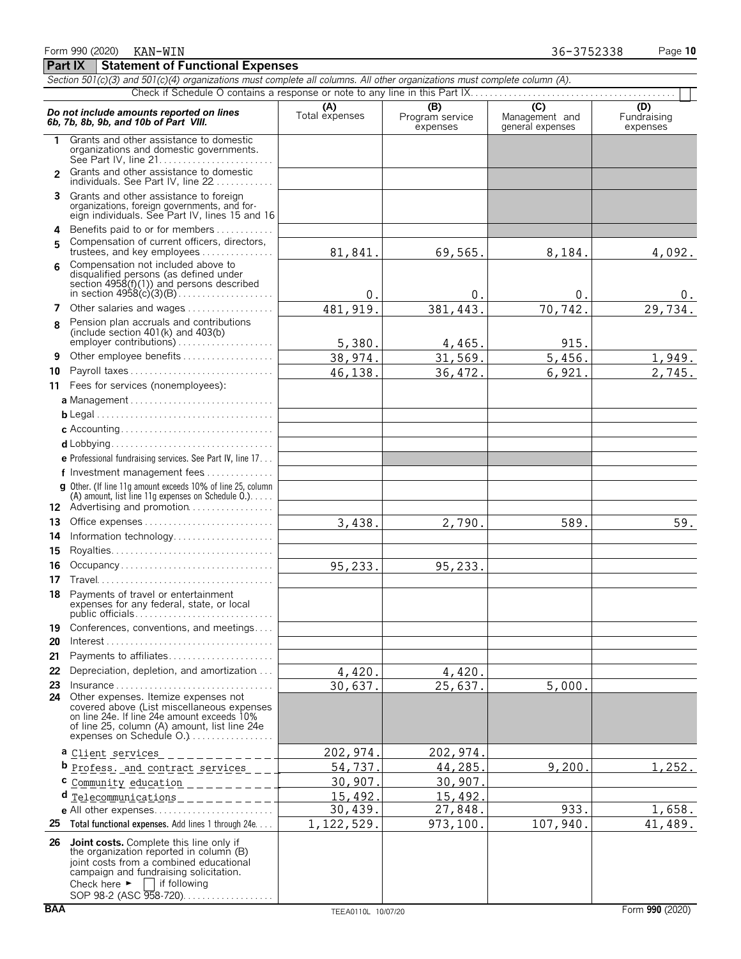|                | Section 501(c)(3) and 501(c)(4) organizations must complete all columns. All other organizations must complete column (A).                                                                                                                            |                       |                                    |                                           |                                |  |  |  |
|----------------|-------------------------------------------------------------------------------------------------------------------------------------------------------------------------------------------------------------------------------------------------------|-----------------------|------------------------------------|-------------------------------------------|--------------------------------|--|--|--|
|                |                                                                                                                                                                                                                                                       |                       |                                    |                                           |                                |  |  |  |
|                | Do not include amounts reported on lines<br>6b, 7b, 8b, 9b, and 10b of Part VIII.                                                                                                                                                                     | (A)<br>Total expenses | (B)<br>Program service<br>expenses | (C)<br>Management and<br>general expenses | (D)<br>Fundraising<br>expenses |  |  |  |
| 1              | Grants and other assistance to domestic<br>organizations and domestic governments.                                                                                                                                                                    |                       |                                    |                                           |                                |  |  |  |
| $\mathfrak{p}$ | Grants and other assistance to domestic<br>individuals. See Part IV, line 22                                                                                                                                                                          |                       |                                    |                                           |                                |  |  |  |
| 3              | Grants and other assistance to foreign<br>organizations, foreign governments, and for-<br>eign individuals. See Part IV, lines 15 and 16                                                                                                              |                       |                                    |                                           |                                |  |  |  |
| 4<br>5         | Benefits paid to or for members<br>Compensation of current officers, directors,                                                                                                                                                                       |                       |                                    |                                           |                                |  |  |  |
| 6              | trustees, and key employees<br>Compensation not included above to                                                                                                                                                                                     | 81,841.               | 69,565.                            | 8,184.                                    | 4,092.                         |  |  |  |
|                | disqualified persons (as defined under<br>section $4958(f)(1)$ ) and persons described                                                                                                                                                                | 0.                    | 0.                                 | $0$ .                                     | 0.                             |  |  |  |
|                | 7 Other salaries and wages                                                                                                                                                                                                                            | 481, 919.             | 381,443.                           | 70,742.                                   | 29,734.                        |  |  |  |
| 8              | Pension plan accruals and contributions<br>(include section $401(k)$ and $403(b)$<br>employer contributions)                                                                                                                                          | 5,380.                | 4,465.                             | 915.                                      |                                |  |  |  |
| 9              | Other employee benefits                                                                                                                                                                                                                               | 38,974.               | 31,569.                            | 5,456.                                    | 1,949.                         |  |  |  |
| 10             | Payroll taxes                                                                                                                                                                                                                                         | 46,138.               | 36, 472.                           | 6,921.                                    | 2,745.                         |  |  |  |
|                | 11 Fees for services (nonemployees):                                                                                                                                                                                                                  |                       |                                    |                                           |                                |  |  |  |
|                |                                                                                                                                                                                                                                                       |                       |                                    |                                           |                                |  |  |  |
|                |                                                                                                                                                                                                                                                       |                       |                                    |                                           |                                |  |  |  |
|                |                                                                                                                                                                                                                                                       |                       |                                    |                                           |                                |  |  |  |
|                |                                                                                                                                                                                                                                                       |                       |                                    |                                           |                                |  |  |  |
|                | e Professional fundraising services. See Part IV, line 17                                                                                                                                                                                             |                       |                                    |                                           |                                |  |  |  |
|                | f Investment management fees<br>g Other. (If line 11g amount exceeds 10% of line 25, column                                                                                                                                                           |                       |                                    |                                           |                                |  |  |  |
|                | (A) amount, list line 11g expenses on Schedule $0.$ )                                                                                                                                                                                                 |                       |                                    |                                           |                                |  |  |  |
|                | 12 Advertising and promotion                                                                                                                                                                                                                          |                       |                                    |                                           |                                |  |  |  |
| 13             |                                                                                                                                                                                                                                                       | 3,438.                | 2,790.                             | 589.                                      | 59.                            |  |  |  |
| 14             | Information technology                                                                                                                                                                                                                                |                       |                                    |                                           |                                |  |  |  |
| 15             |                                                                                                                                                                                                                                                       |                       |                                    |                                           |                                |  |  |  |
| 16<br>17       | Occupancy                                                                                                                                                                                                                                             | 95,233.               | 95,233.                            |                                           |                                |  |  |  |
| 18.            | Payments of travel or entertainment                                                                                                                                                                                                                   |                       |                                    |                                           |                                |  |  |  |
|                | expenses for any federal, state, or local                                                                                                                                                                                                             |                       |                                    |                                           |                                |  |  |  |
| 19<br>20       | Conferences, conventions, and meetings                                                                                                                                                                                                                |                       |                                    |                                           |                                |  |  |  |
| 21             | Payments to affiliates                                                                                                                                                                                                                                |                       |                                    |                                           |                                |  |  |  |
| 22             | Depreciation, depletion, and amortization                                                                                                                                                                                                             | 4,420.                | 4,420.                             |                                           |                                |  |  |  |
| 23<br>24       | Insurance<br>Other expenses. Itemize expenses not<br>covered above (List miscellaneous expenses<br>on line 24e. If line 24e amount exceeds 10%                                                                                                        | 30,637.               | 25,637.                            | 5,000.                                    |                                |  |  |  |
|                | of line 25, column (A) amount, list line 24e<br>expenses on Schedule O.)                                                                                                                                                                              |                       |                                    |                                           |                                |  |  |  |
|                | a Client services ____________                                                                                                                                                                                                                        | 202, 974.             | 202, 974.                          |                                           |                                |  |  |  |
|                | b Profess. and contract services__                                                                                                                                                                                                                    | 54,737.               | 44,285.                            | 9,200.                                    | 1,252.                         |  |  |  |
|                | C Community education ___________                                                                                                                                                                                                                     | 30,907.               | 30,907                             |                                           |                                |  |  |  |
|                | d<br>Telecommunications ____________                                                                                                                                                                                                                  | 15,492.               | 15,492.                            |                                           |                                |  |  |  |
|                |                                                                                                                                                                                                                                                       | 30,439.               | 27,848.                            | 933.                                      | 1,658.                         |  |  |  |
| 25             | Total functional expenses. Add lines 1 through 24e                                                                                                                                                                                                    | 1, 122, 529.          | 973,100.                           | 107,940.                                  | 41,489.                        |  |  |  |
|                | 26 Joint costs. Complete this line only if<br>the organization reported in column (B)<br>joint costs from a combined educational<br>campaign and fundraising solicitation.<br>Check here $\blacktriangleright$ if following<br>SOP 98-2 (ASC 958-720) |                       |                                    |                                           |                                |  |  |  |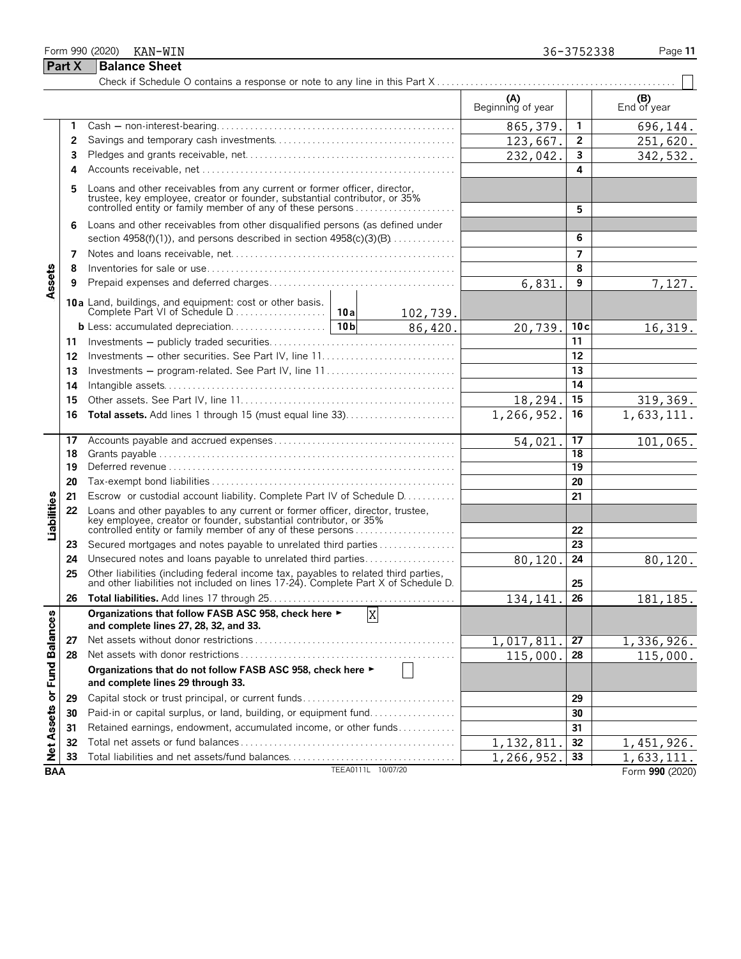## Form 990 (2020) KAN-WIN 2002 CONVERTING THE SERVICE OF STRAIGHT AND THE SERVICE OF STRAIGHT AND THE SERVICE OF STRAIGHT AND THE SERVICE OF STRAIGHT AND THE SERVICE OF STRAIGHT AND THE STRAIGHT AND THE STRAIGHT AND THE STRA **Part X Balance Sheet** Check if Schedule O contains a response or note to any line in this Part X . . . . . . . . . . . . . . . . . . . . . . . . . . . . . . . . . . . . . . . . . . . . . . . . . .

|                                     |    |                                                                                                                                                                                                                    | (A)<br>Beginning of year |                 | (B)<br>End of year |
|-------------------------------------|----|--------------------------------------------------------------------------------------------------------------------------------------------------------------------------------------------------------------------|--------------------------|-----------------|--------------------|
|                                     | 1  |                                                                                                                                                                                                                    | 865, 379.                | 1               | 696,144.           |
|                                     | 2  |                                                                                                                                                                                                                    | 123,667.                 | 2               | 251,620.           |
|                                     | 3  |                                                                                                                                                                                                                    | 232,042                  | 3               | 342,532.           |
|                                     | 4  |                                                                                                                                                                                                                    |                          | 4               |                    |
|                                     | 5  | Loans and other receivables from any current or former officer, director, trustee, key employee, creator or founder, substantial contributor, or 35%<br>controlled entity or family member of any of these persons |                          | 5               |                    |
|                                     | 6  | Loans and other receivables from other disqualified persons (as defined under                                                                                                                                      |                          |                 |                    |
|                                     |    | section $4958(f)(1)$ , and persons described in section $4958(c)(3)(B)$                                                                                                                                            |                          | 6               |                    |
|                                     | 7  |                                                                                                                                                                                                                    |                          | 7               |                    |
|                                     | 8  |                                                                                                                                                                                                                    |                          | 8               |                    |
| Assets                              | 9  |                                                                                                                                                                                                                    | 6,831.                   | 9               | 7,127.             |
|                                     |    | 10a Land, buildings, and equipment: cost or other basis.<br>102,739.                                                                                                                                               |                          |                 |                    |
|                                     |    | 86,420.                                                                                                                                                                                                            | 20,739.                  | 10c             | 16,319.            |
|                                     | 11 |                                                                                                                                                                                                                    |                          | 11              |                    |
|                                     | 12 |                                                                                                                                                                                                                    |                          | 12              |                    |
|                                     | 13 | Investments – program-related. See Part IV, line 11                                                                                                                                                                |                          | 13              |                    |
|                                     | 14 |                                                                                                                                                                                                                    |                          | 14              |                    |
|                                     | 15 |                                                                                                                                                                                                                    | 18,294.                  | 15              | 319,369.           |
|                                     | 16 | Total assets. Add lines 1 through 15 (must equal line 33)                                                                                                                                                          | 1,266,952.               | 16              | 1,633,111.         |
|                                     | 17 |                                                                                                                                                                                                                    | 54,021                   | 17              | 101,065.           |
|                                     | 18 |                                                                                                                                                                                                                    |                          | 18              |                    |
|                                     | 19 |                                                                                                                                                                                                                    |                          | $\overline{19}$ |                    |
|                                     | 20 |                                                                                                                                                                                                                    |                          | 20              |                    |
|                                     | 21 | Escrow or custodial account liability. Complete Part IV of Schedule D.                                                                                                                                             |                          | 21              |                    |
| Liabilities                         | 22 | Loans and other payables to any current or former officer, director, trustee,<br>key employee, creator or founder, substantial contributor, or 35%<br>controlled entity or family member of any of these persons   |                          | 22              |                    |
|                                     | 23 | Secured mortgages and notes payable to unrelated third parties                                                                                                                                                     |                          | 23              |                    |
|                                     | 24 | Unsecured notes and loans payable to unrelated third parties                                                                                                                                                       | 80,120.                  | 24              | 80, 120.           |
|                                     | 25 | Other liabilities (including federal income tax, payables to related third parties, and other liabilities not included on lines 17-24). Complete Part X of Schedule D.                                             |                          | 25              |                    |
|                                     | 26 |                                                                                                                                                                                                                    | 134,141                  | 26              | 181, 185.          |
| es<br>S<br>Net Assets or Fund Balan |    | Organizations that follow FASB ASC 958, check here ►<br>X<br>and complete lines 27, 28, 32, and 33.                                                                                                                |                          |                 |                    |
|                                     | 27 |                                                                                                                                                                                                                    | 1,017,811                | 27              | 1,336,926.         |
|                                     | 28 |                                                                                                                                                                                                                    | 115,000                  | 28              | 115,000.           |
|                                     |    | Organizations that do not follow FASB ASC 958, check here ►<br>and complete lines 29 through 33.                                                                                                                   |                          |                 |                    |
|                                     | 29 | Capital stock or trust principal, or current funds                                                                                                                                                                 |                          | 29              |                    |
|                                     | 30 | Paid-in or capital surplus, or land, building, or equipment fund                                                                                                                                                   |                          | 30              |                    |
|                                     | 31 | Retained earnings, endowment, accumulated income, or other funds                                                                                                                                                   |                          | 31              |                    |
|                                     | 32 |                                                                                                                                                                                                                    | 1, 132, 811              | 32              | 1,451,926.         |
|                                     | 33 | Total liabilities and net assets/fund balances                                                                                                                                                                     | 1,266,952.               | 33              | 1,633,111.         |
| <b>BAA</b>                          |    | TEEA0111L 10/07/20                                                                                                                                                                                                 |                          |                 | Form 990 (2020)    |

KAN-WIN 36-3752338